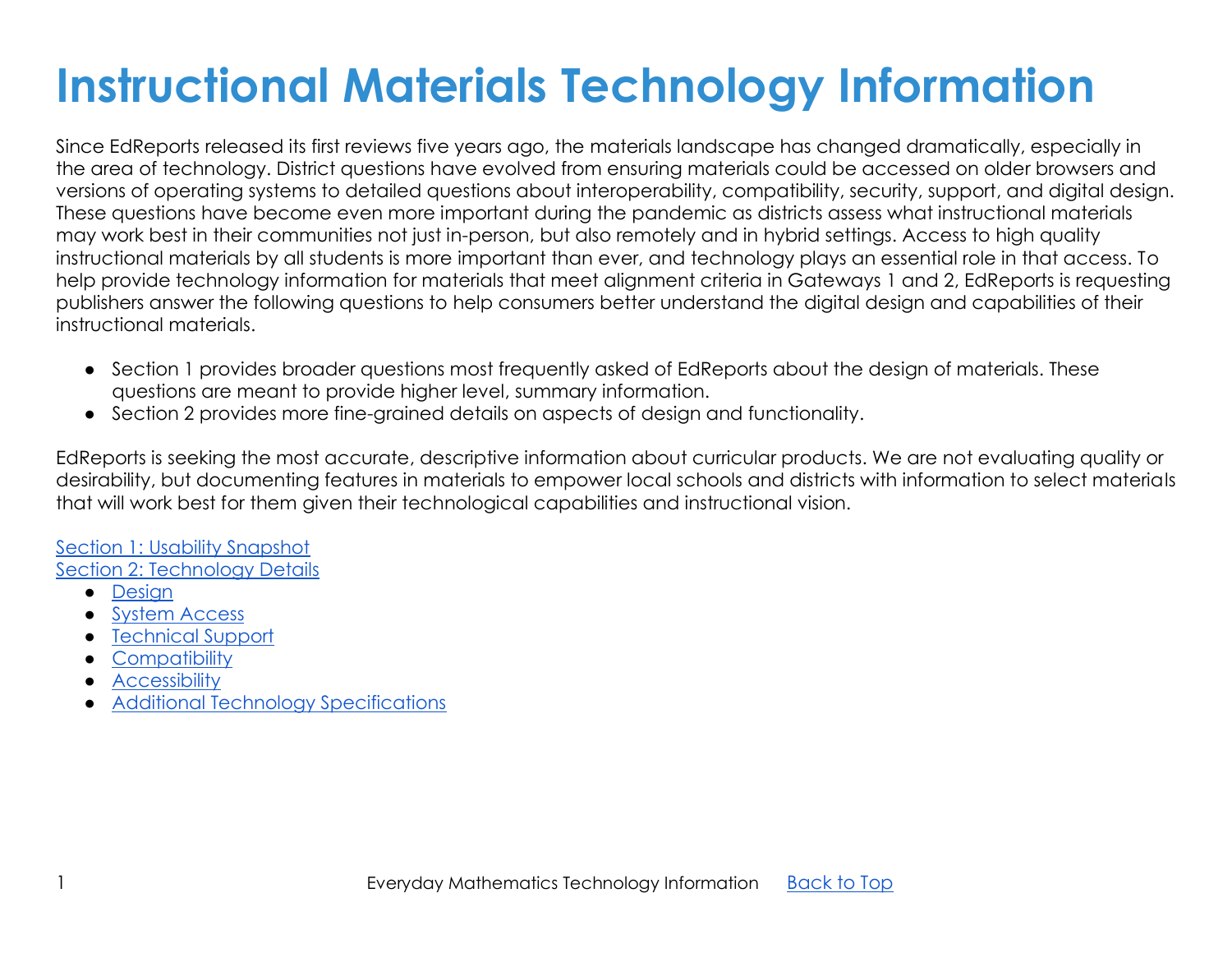# **Instructional Materials Technology Information**

Since EdReports released its first reviews five years ago, the materials landscape has changed dramatically, especially in the area of technology. District questions have evolved from ensuring materials could be accessed on older browsers and versions of operating systems to detailed questions about interoperability, compatibility, security, support, and digital design. These questions have become even more important during the pandemic as districts assess what instructional materials may work best in their communities not just in-person, but also remotely and in hybrid settings. Access to high quality instructional materials by all students is more important than ever, and technology plays an essential role in that access. To help provide technology information for materials that meet alignment criteria in Gateways 1 and 2, EdReports is requesting publishers answer the following questions to help consumers better understand the digital design and capabilities of their instructional materials.

- Section 1 provides broader questions most frequently asked of EdReports about the design of materials. These questions are meant to provide higher level, summary information.
- Section 2 provides more fine-grained details on aspects of design and functionality.

EdReports is seeking the most accurate, descriptive information about curricular products. We are not evaluating quality or desirability, but documenting features in materials to empower local schools and districts with information to select materials that will work best for them given their technological capabilities and instructional vision.

#### [Section 1: Usability Snapshot](#page-0-0) [Section 2: Technology Details](#page-6-0)

- [Design](#page-7-0)
- [System Access](#page-11-0)
- [Technical Support](#page-13-0)
- [Compatibility](#page-15-0)
- Accessibility
- <span id="page-0-0"></span>● [Additional Technology Specifications](#page-22-0)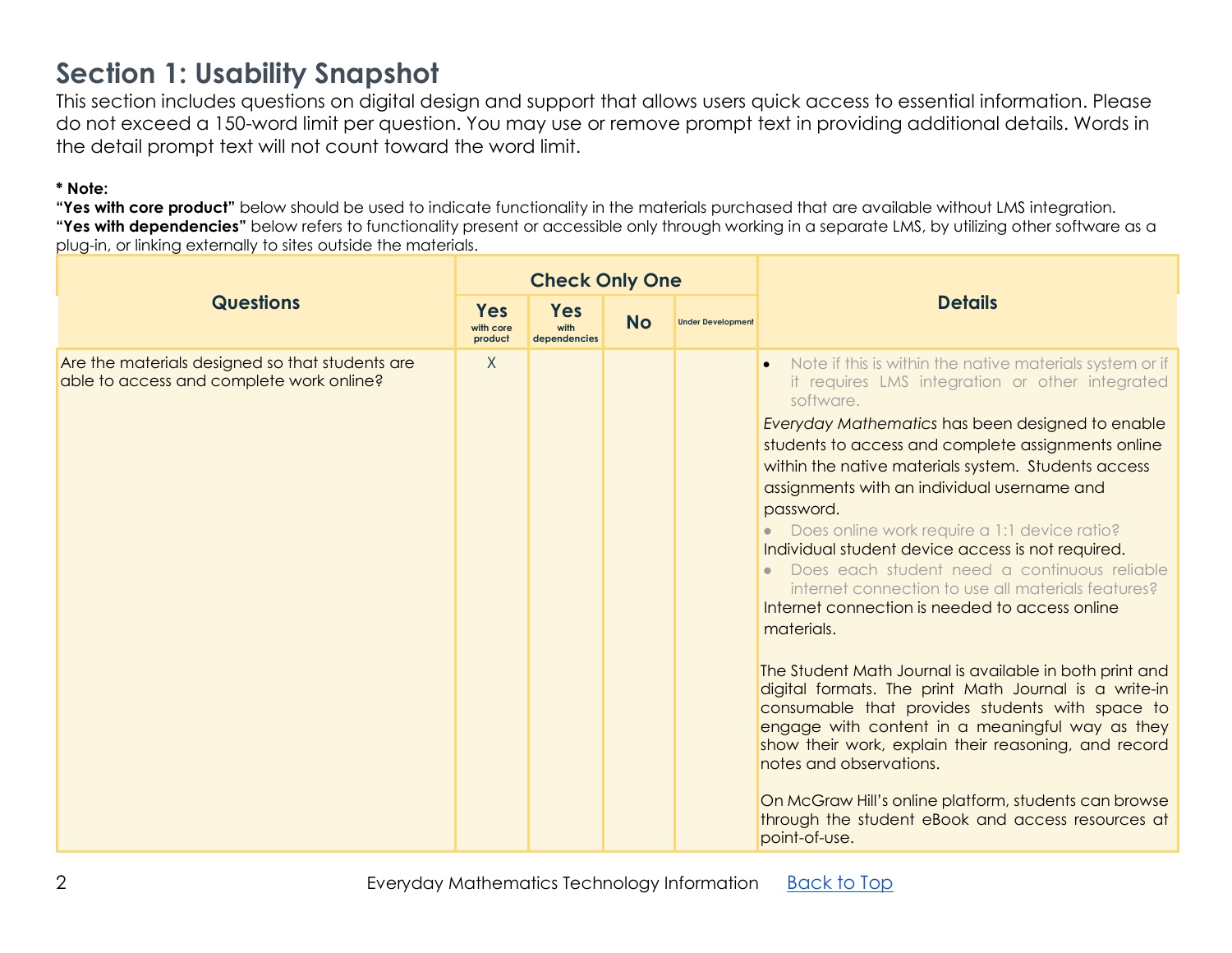### **Section 1: Usability Snapshot**

This section includes questions on digital design and support that allows users quick access to essential information. Please do not exceed a 150-word limit per question. You may use or remove prompt text in providing additional details. Words in the detail prompt text will not count toward the word limit.

#### **\* Note:**

|                                                                                             |                                    | <b>Check Only One</b>              |           |                          |                                                                                                                                                                                                                                                                                                                                                                                                                                                                                                                                                                                                                                                                                                                                                                                                                                                                                                                                                                                                                                                                              |
|---------------------------------------------------------------------------------------------|------------------------------------|------------------------------------|-----------|--------------------------|------------------------------------------------------------------------------------------------------------------------------------------------------------------------------------------------------------------------------------------------------------------------------------------------------------------------------------------------------------------------------------------------------------------------------------------------------------------------------------------------------------------------------------------------------------------------------------------------------------------------------------------------------------------------------------------------------------------------------------------------------------------------------------------------------------------------------------------------------------------------------------------------------------------------------------------------------------------------------------------------------------------------------------------------------------------------------|
| <b>Questions</b>                                                                            | <b>Yes</b><br>with core<br>product | <b>Yes</b><br>with<br>dependencies | <b>No</b> | <b>Under Development</b> | <b>Details</b>                                                                                                                                                                                                                                                                                                                                                                                                                                                                                                                                                                                                                                                                                                                                                                                                                                                                                                                                                                                                                                                               |
| Are the materials designed so that students are<br>able to access and complete work online? | $\mathsf{X}$                       |                                    |           |                          | Note if this is within the native materials system or if<br>it requires LMS integration or other integrated<br>software.<br>Everyday Mathematics has been designed to enable<br>students to access and complete assignments online<br>within the native materials system. Students access<br>assignments with an individual username and<br>password.<br>Does online work require a 1:1 device ratio?<br>Individual student device access is not required.<br>Does each student need a continuous reliable<br>internet connection to use all materials features?<br>Internet connection is needed to access online<br>materials.<br>The Student Math Journal is available in both print and<br>digital formats. The print Math Journal is a write-in<br>consumable that provides students with space to<br>engage with content in a meaningful way as they<br>show their work, explain their reasoning, and record<br>notes and observations.<br>On McGraw Hill's online platform, students can browse<br>through the student eBook and access resources at<br>point-of-use. |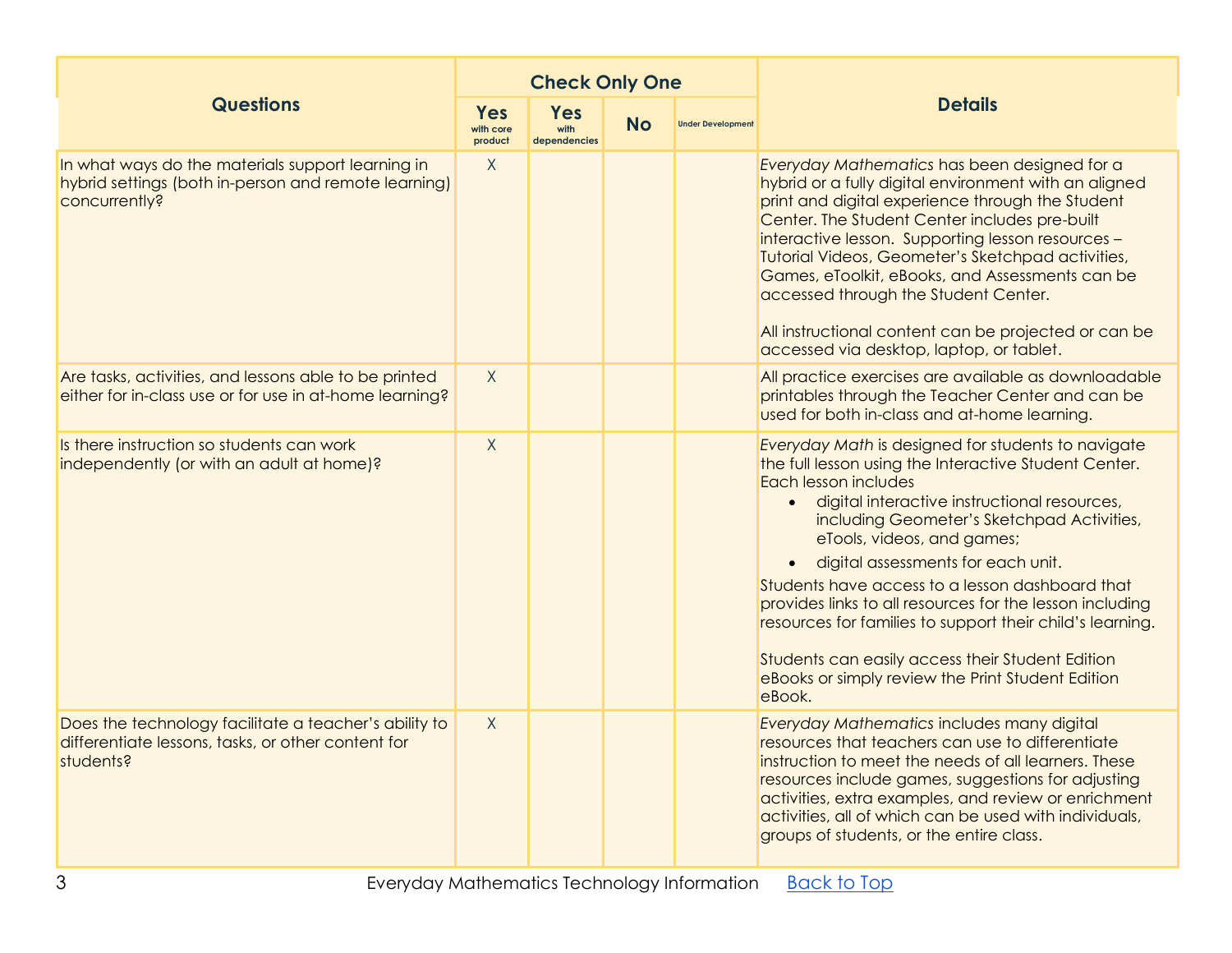|                                                                                                                            |                             | <b>Check Only One</b>                           |  |                          |                                                                                                                                                                                                                                                                                                                                                                                                                                                                                                                                                                                                        |  |  |
|----------------------------------------------------------------------------------------------------------------------------|-----------------------------|-------------------------------------------------|--|--------------------------|--------------------------------------------------------------------------------------------------------------------------------------------------------------------------------------------------------------------------------------------------------------------------------------------------------------------------------------------------------------------------------------------------------------------------------------------------------------------------------------------------------------------------------------------------------------------------------------------------------|--|--|
| <b>Questions</b>                                                                                                           | Yes<br>with core<br>product | <b>Yes</b><br><b>No</b><br>with<br>dependencies |  | <b>Under Development</b> | <b>Details</b>                                                                                                                                                                                                                                                                                                                                                                                                                                                                                                                                                                                         |  |  |
| In what ways do the materials support learning in<br>hybrid settings (both in-person and remote learning)<br>concurrently? | $\chi$                      |                                                 |  |                          | Everyday Mathematics has been designed for a<br>hybrid or a fully digital environment with an aligned<br>print and digital experience through the Student<br>Center. The Student Center includes pre-built<br>interactive lesson. Supporting lesson resources -<br>Tutorial Videos, Geometer's Sketchpad activities,<br>Games, eToolkit, eBooks, and Assessments can be<br>accessed through the Student Center.<br>All instructional content can be projected or can be<br>accessed via desktop, laptop, or tablet.                                                                                    |  |  |
| Are tasks, activities, and lessons able to be printed<br>either for in-class use or for use in at-home learning?           | $\chi$                      |                                                 |  |                          | All practice exercises are available as downloadable<br>printables through the Teacher Center and can be<br>used for both in-class and at-home learning.                                                                                                                                                                                                                                                                                                                                                                                                                                               |  |  |
| Is there instruction so students can work<br>independently (or with an adult at home)?                                     | $\chi$                      |                                                 |  |                          | Everyday Math is designed for students to navigate<br>the full lesson using the Interactive Student Center.<br>Each lesson includes<br>· digital interactive instructional resources,<br>including Geometer's Sketchpad Activities,<br>eTools, videos, and games;<br>digital assessments for each unit.<br>Students have access to a lesson dashboard that<br>provides links to all resources for the lesson including<br>resources for families to support their child's learning.<br>Students can easily access their Student Edition<br>eBooks or simply review the Print Student Edition<br>eBook. |  |  |
| Does the technology facilitate a teacher's ability to<br>differentiate lessons, tasks, or other content for<br>students?   | $\chi$                      |                                                 |  |                          | Everyday Mathematics includes many digital<br>resources that teachers can use to differentiate<br>instruction to meet the needs of all learners. These<br>resources include games, suggestions for adjusting<br>activities, extra examples, and review or enrichment<br>activities, all of which can be used with individuals,<br>groups of students, or the entire class.                                                                                                                                                                                                                             |  |  |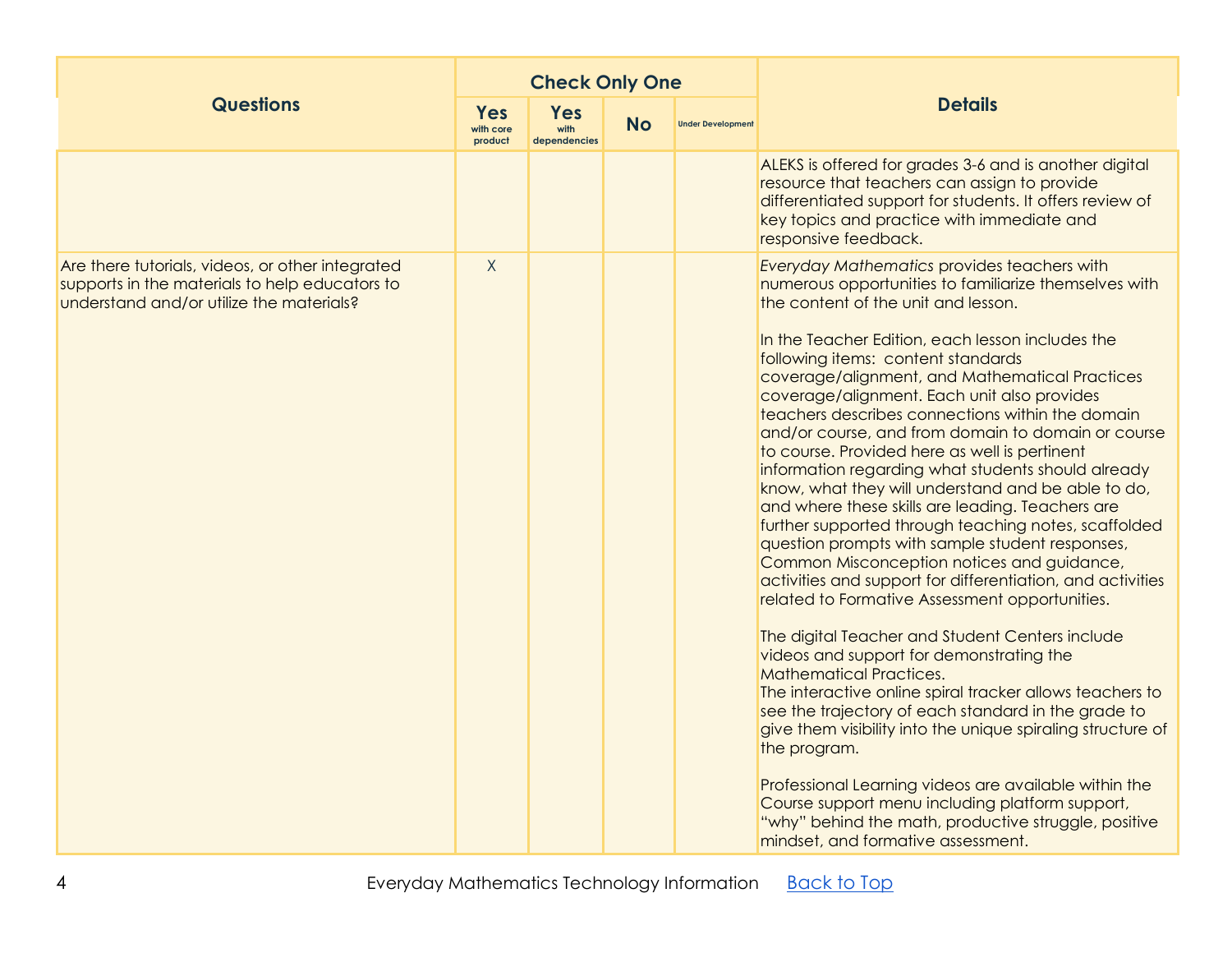|                                                                                                                                                |                                    | <b>Check Only One</b>              |           |                          |                                                                                                                                                                                                                                                                                                                                                                                                                                                                                                                                                                                                                                                                                                                                                                                                                                                                                                                                                                                                                                                                                                                                                                                                                                                                                                                                                                                                                                                                                                |
|------------------------------------------------------------------------------------------------------------------------------------------------|------------------------------------|------------------------------------|-----------|--------------------------|------------------------------------------------------------------------------------------------------------------------------------------------------------------------------------------------------------------------------------------------------------------------------------------------------------------------------------------------------------------------------------------------------------------------------------------------------------------------------------------------------------------------------------------------------------------------------------------------------------------------------------------------------------------------------------------------------------------------------------------------------------------------------------------------------------------------------------------------------------------------------------------------------------------------------------------------------------------------------------------------------------------------------------------------------------------------------------------------------------------------------------------------------------------------------------------------------------------------------------------------------------------------------------------------------------------------------------------------------------------------------------------------------------------------------------------------------------------------------------------------|
| <b>Questions</b>                                                                                                                               | <b>Yes</b><br>with core<br>product | <b>Yes</b><br>with<br>dependencies | <b>No</b> | <b>Under Development</b> | <b>Details</b>                                                                                                                                                                                                                                                                                                                                                                                                                                                                                                                                                                                                                                                                                                                                                                                                                                                                                                                                                                                                                                                                                                                                                                                                                                                                                                                                                                                                                                                                                 |
|                                                                                                                                                |                                    |                                    |           |                          | ALEKS is offered for grades 3-6 and is another digital<br>resource that teachers can assign to provide<br>differentiated support for students. It offers review of<br>key topics and practice with immediate and<br>responsive feedback.                                                                                                                                                                                                                                                                                                                                                                                                                                                                                                                                                                                                                                                                                                                                                                                                                                                                                                                                                                                                                                                                                                                                                                                                                                                       |
| Are there tutorials, videos, or other integrated<br>supports in the materials to help educators to<br>understand and/or utilize the materials? | X                                  |                                    |           |                          | <b>Everyday Mathematics provides teachers with</b><br>numerous opportunities to familiarize themselves with<br>the content of the unit and lesson.<br>In the Teacher Edition, each lesson includes the<br>following items: content standards<br>coverage/alignment, and Mathematical Practices<br>coverage/alignment. Each unit also provides<br>teachers describes connections within the domain<br>and/or course, and from domain to domain or course<br>to course. Provided here as well is pertinent<br>information regarding what students should already<br>know, what they will understand and be able to do,<br>and where these skills are leading. Teachers are<br>further supported through teaching notes, scaffolded<br>question prompts with sample student responses,<br>Common Misconception notices and guidance,<br>activities and support for differentiation, and activities<br>related to Formative Assessment opportunities.<br>The digital Teacher and Student Centers include<br>videos and support for demonstrating the<br><b>Mathematical Practices.</b><br>The interactive online spiral tracker allows teachers to<br>see the trajectory of each standard in the grade to<br>give them visibility into the unique spiraling structure of<br>the program.<br>Professional Learning videos are available within the<br>Course support menu including platform support,<br>"why" behind the math, productive struggle, positive<br>mindset, and formative assessment. |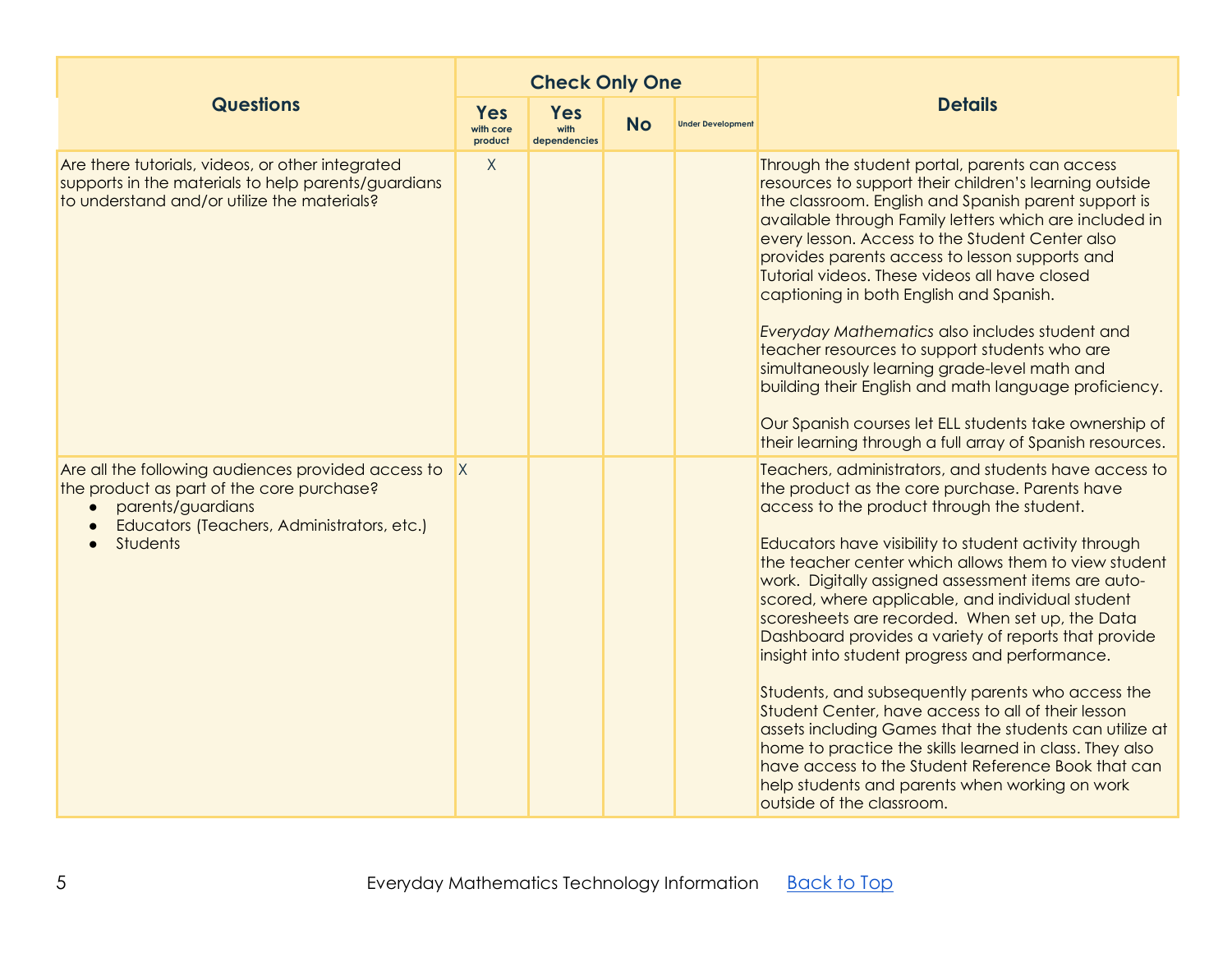|                                                                                                                                                                                       |                                    | <b>Check Only One</b>              |           |                          |                                                                                                                                                                                                                                                                                                                                                                                                                                                                                                                                                                                                                                                                                                                                                                                                                                                                                                                      |
|---------------------------------------------------------------------------------------------------------------------------------------------------------------------------------------|------------------------------------|------------------------------------|-----------|--------------------------|----------------------------------------------------------------------------------------------------------------------------------------------------------------------------------------------------------------------------------------------------------------------------------------------------------------------------------------------------------------------------------------------------------------------------------------------------------------------------------------------------------------------------------------------------------------------------------------------------------------------------------------------------------------------------------------------------------------------------------------------------------------------------------------------------------------------------------------------------------------------------------------------------------------------|
| <b>Questions</b>                                                                                                                                                                      | <b>Yes</b><br>with core<br>product | <b>Yes</b><br>with<br>dependencies | <b>No</b> | <b>Under Development</b> | <b>Details</b>                                                                                                                                                                                                                                                                                                                                                                                                                                                                                                                                                                                                                                                                                                                                                                                                                                                                                                       |
| Are there tutorials, videos, or other integrated<br>supports in the materials to help parents/guardians<br>to understand and/or utilize the materials?                                | X                                  |                                    |           |                          | Through the student portal, parents can access<br>resources to support their children's learning outside<br>the classroom. English and Spanish parent support is<br>available through Family letters which are included in<br>every lesson. Access to the Student Center also<br>provides parents access to lesson supports and<br>Tutorial videos. These videos all have closed<br>captioning in both English and Spanish.<br>Everyday Mathematics also includes student and<br>teacher resources to support students who are<br>simultaneously learning grade-level math and<br>building their English and math language proficiency.<br>Our Spanish courses let ELL students take ownership of<br>their learning through a full array of Spanish resources.                                                                                                                                                       |
| Are all the following audiences provided access to<br>the product as part of the core purchase?<br>parents/guardians<br>Educators (Teachers, Administrators, etc.)<br><b>Students</b> | X                                  |                                    |           |                          | Teachers, administrators, and students have access to<br>the product as the core purchase. Parents have<br>access to the product through the student.<br>Educators have visibility to student activity through<br>the teacher center which allows them to view student<br>work. Digitally assigned assessment items are auto-<br>scored, where applicable, and individual student<br>scoresheets are recorded. When set up, the Data<br>Dashboard provides a variety of reports that provide<br>insight into student progress and performance.<br>Students, and subsequently parents who access the<br>Student Center, have access to all of their lesson<br>assets including Games that the students can utilize at<br>home to practice the skills learned in class. They also<br>have access to the Student Reference Book that can<br>help students and parents when working on work<br>outside of the classroom. |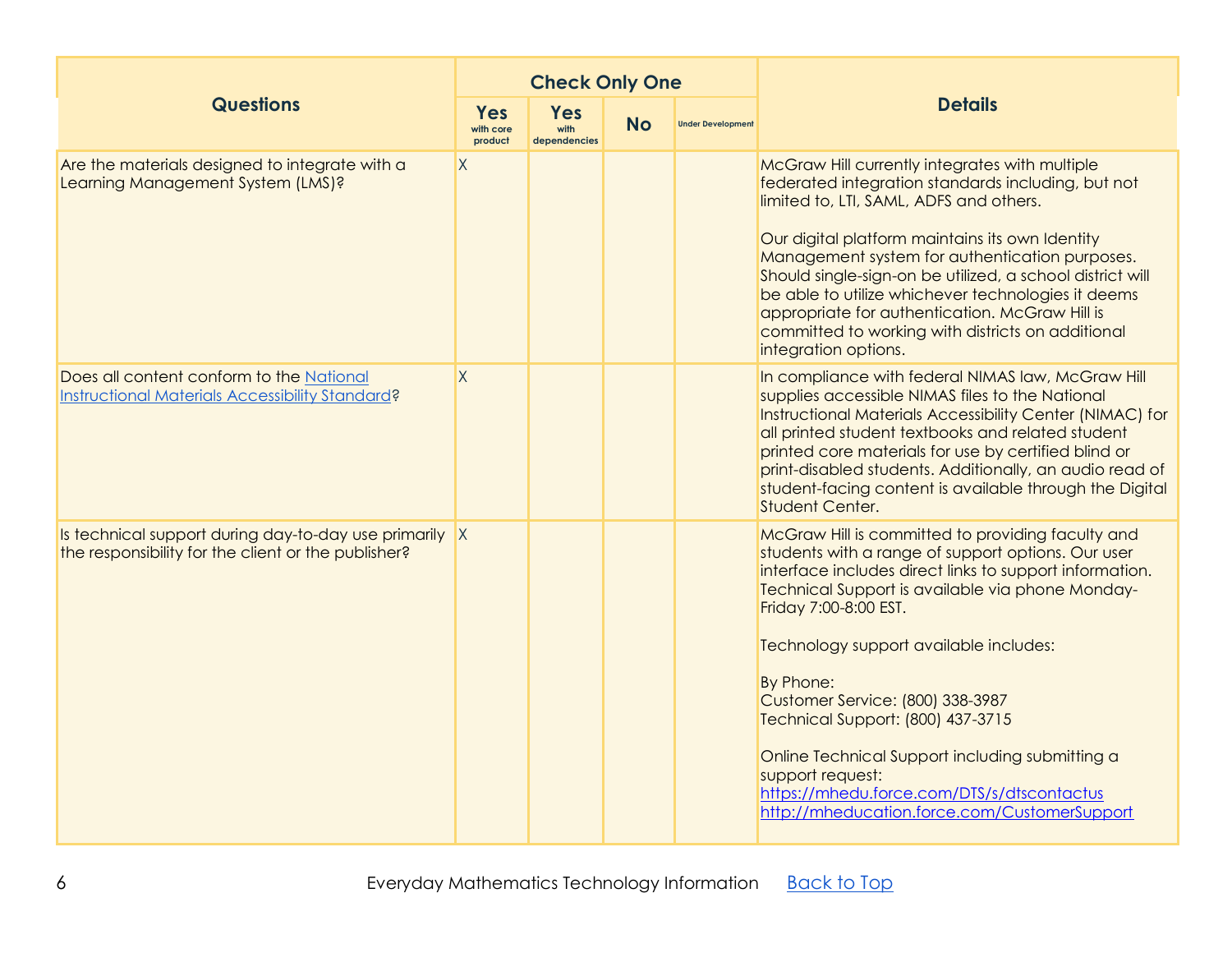|                                                                                                               |              | <b>Check Only One</b>                                                                 |  |                          |                                                                                                                                                                                                                                                                                                                                                                                                                                                                                                                                                      |  |  |
|---------------------------------------------------------------------------------------------------------------|--------------|---------------------------------------------------------------------------------------|--|--------------------------|------------------------------------------------------------------------------------------------------------------------------------------------------------------------------------------------------------------------------------------------------------------------------------------------------------------------------------------------------------------------------------------------------------------------------------------------------------------------------------------------------------------------------------------------------|--|--|
| <b>Questions</b>                                                                                              |              | <b>Yes</b><br><b>Yes</b><br><b>No</b><br>with<br>with core<br>dependencies<br>product |  | <b>Under Development</b> | <b>Details</b>                                                                                                                                                                                                                                                                                                                                                                                                                                                                                                                                       |  |  |
| Are the materials designed to integrate with a<br>Learning Management System (LMS)?                           | $\mathsf{X}$ |                                                                                       |  |                          | McGraw Hill currently integrates with multiple<br>federated integration standards including, but not<br>limited to, LTI, SAML, ADFS and others.<br>Our digital platform maintains its own Identity<br>Management system for authentication purposes.<br>Should single-sign-on be utilized, a school district will<br>be able to utilize whichever technologies it deems<br>appropriate for authentication. McGraw Hill is<br>committed to working with districts on additional<br>integration options.                                               |  |  |
| Does all content conform to the National<br>Instructional Materials Accessibility Standard?                   | $\sf X$      |                                                                                       |  |                          | In compliance with federal NIMAS law, McGraw Hill<br>supplies accessible NIMAS files to the National<br>Instructional Materials Accessibility Center (NIMAC) for<br>all printed student textbooks and related student<br>printed core materials for use by certified blind or<br>print-disabled students. Additionally, an audio read of<br>student-facing content is available through the Digital<br>Student Center.                                                                                                                               |  |  |
| Is technical support during day-to-day use primarily X<br>the responsibility for the client or the publisher? |              |                                                                                       |  |                          | McGraw Hill is committed to providing faculty and<br>students with a range of support options. Our user<br>interface includes direct links to support information.<br>Technical Support is available via phone Monday-<br>Friday 7:00-8:00 EST.<br>Technology support available includes:<br>By Phone:<br>Customer Service: (800) 338-3987<br>Technical Support: (800) 437-3715<br>Online Technical Support including submitting a<br>support request:<br>https://mhedu.force.com/DTS/s/dtscontactus<br>http://mheducation.force.com/CustomerSupport |  |  |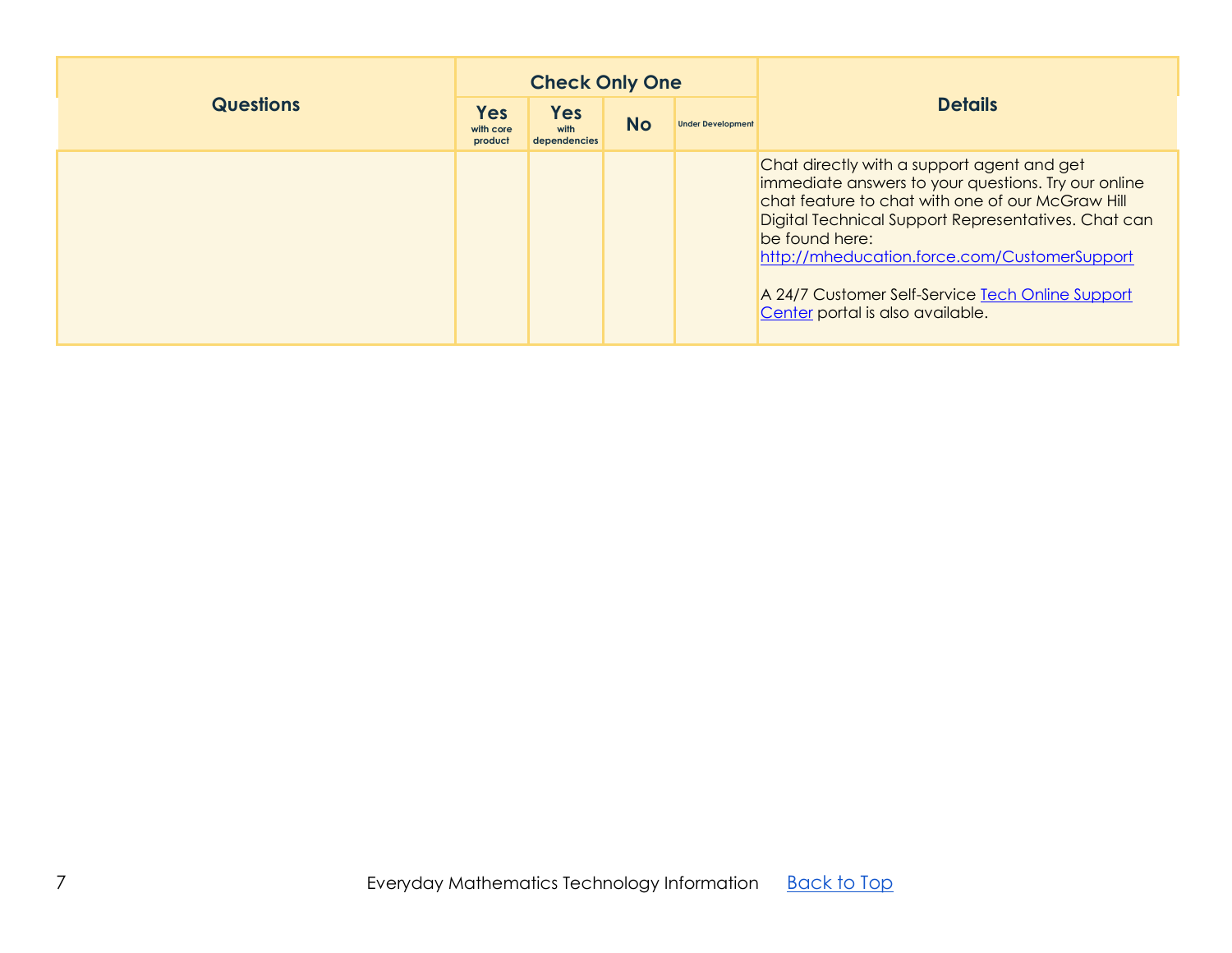<span id="page-6-0"></span>

|                  |                                    | <b>Check Only One</b>                           |  |                          |                                                                                                                                                                                                                                                                                                                                                                        |
|------------------|------------------------------------|-------------------------------------------------|--|--------------------------|------------------------------------------------------------------------------------------------------------------------------------------------------------------------------------------------------------------------------------------------------------------------------------------------------------------------------------------------------------------------|
| <b>Questions</b> | <b>Yes</b><br>with core<br>product | <b>Yes</b><br><b>No</b><br>with<br>dependencies |  | <b>Under Development</b> | <b>Details</b>                                                                                                                                                                                                                                                                                                                                                         |
|                  |                                    |                                                 |  |                          | Chat directly with a support agent and get<br>immediate answers to your questions. Try our online<br>chat feature to chat with one of our McGraw Hill<br>Digital Technical Support Representatives. Chat can<br>be found here:<br>http://mheducation.force.com/CustomerSupport<br>A 24/7 Customer Self-Service Tech Online Support<br>Center portal is also available. |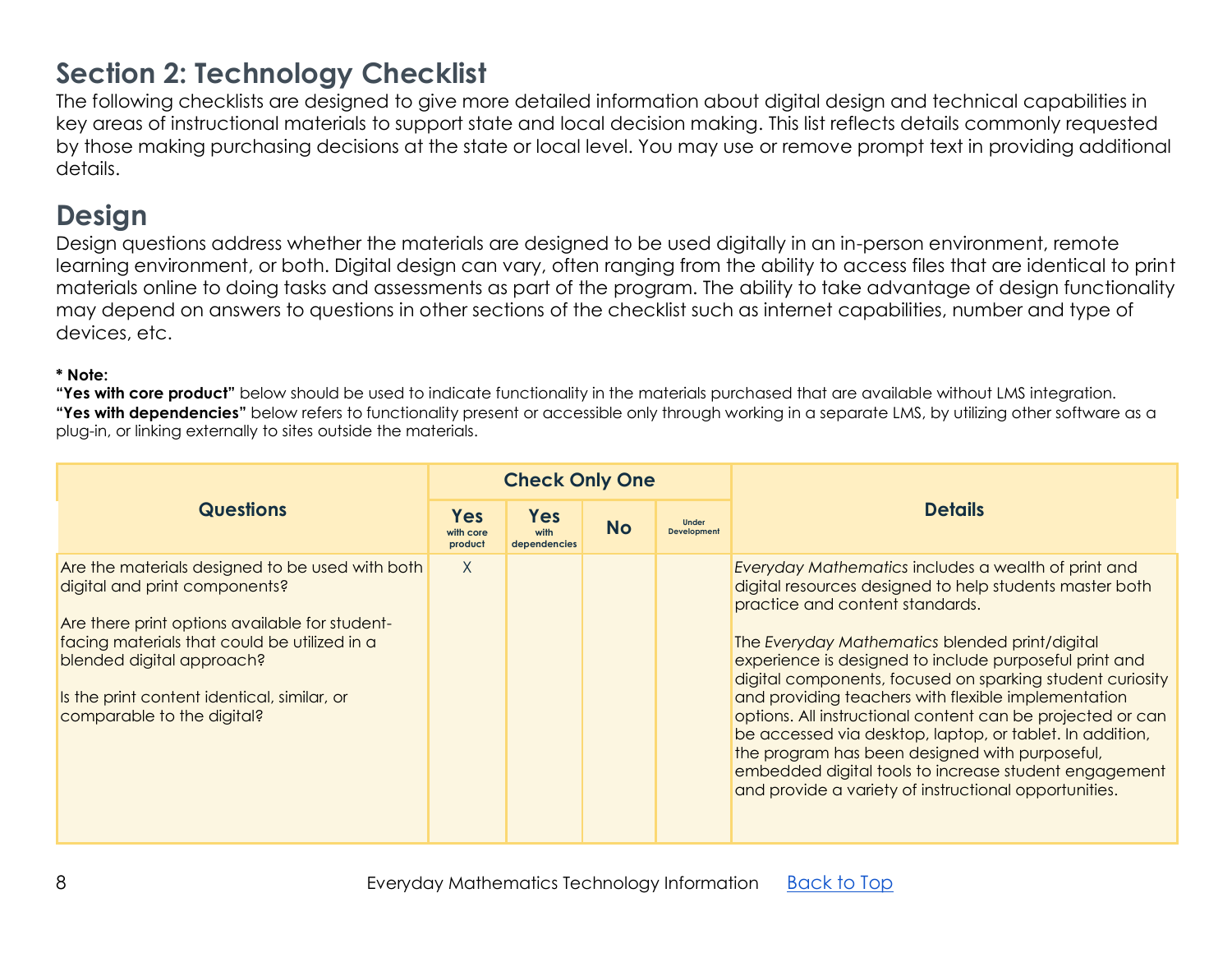# **Section 2: Technology Checklist**

The following checklists are designed to give more detailed information about digital design and technical capabilities in key areas of instructional materials to support state and local decision making. This list reflects details commonly requested by those making purchasing decisions at the state or local level. You may use or remove prompt text in providing additional details.

# <span id="page-7-0"></span>**Design**

Design questions address whether the materials are designed to be used digitally in an in-person environment, remote learning environment, or both. Digital design can vary, often ranging from the ability to access files that are identical to print materials online to doing tasks and assessments as part of the program. The ability to take advantage of design functionality may depend on answers to questions in other sections of the checklist such as internet capabilities, number and type of devices, etc.

### **\* Note:**

|                                                                                                                                                                                                                                                                                              |                             | <b>Check Only One</b>              |           |                                    |                                                                                                                                                                                                                                                                                                                                                                                                                                                                                                                                                                                                                                                                                 |
|----------------------------------------------------------------------------------------------------------------------------------------------------------------------------------------------------------------------------------------------------------------------------------------------|-----------------------------|------------------------------------|-----------|------------------------------------|---------------------------------------------------------------------------------------------------------------------------------------------------------------------------------------------------------------------------------------------------------------------------------------------------------------------------------------------------------------------------------------------------------------------------------------------------------------------------------------------------------------------------------------------------------------------------------------------------------------------------------------------------------------------------------|
| <b>Questions</b>                                                                                                                                                                                                                                                                             | Yes<br>with core<br>product | <b>Yes</b><br>with<br>dependencies | <b>No</b> | <b>Under</b><br><b>Development</b> | <b>Details</b>                                                                                                                                                                                                                                                                                                                                                                                                                                                                                                                                                                                                                                                                  |
| Are the materials designed to be used with both<br>digital and print components?<br>Are there print options available for student-<br>facing materials that could be utilized in a<br>blended digital approach?<br>Is the print content identical, similar, or<br>comparable to the digital? | X                           |                                    |           |                                    | Everyday Mathematics includes a wealth of print and<br>digital resources designed to help students master both<br>practice and content standards.<br>The Everyday Mathematics blended print/digital<br>experience is designed to include purposeful print and<br>digital components, focused on sparking student curiosity<br>and providing teachers with flexible implementation<br>options. All instructional content can be projected or can<br>be accessed via desktop, laptop, or tablet. In addition,<br>the program has been designed with purposeful,<br>embedded digital tools to increase student engagement<br>and provide a variety of instructional opportunities. |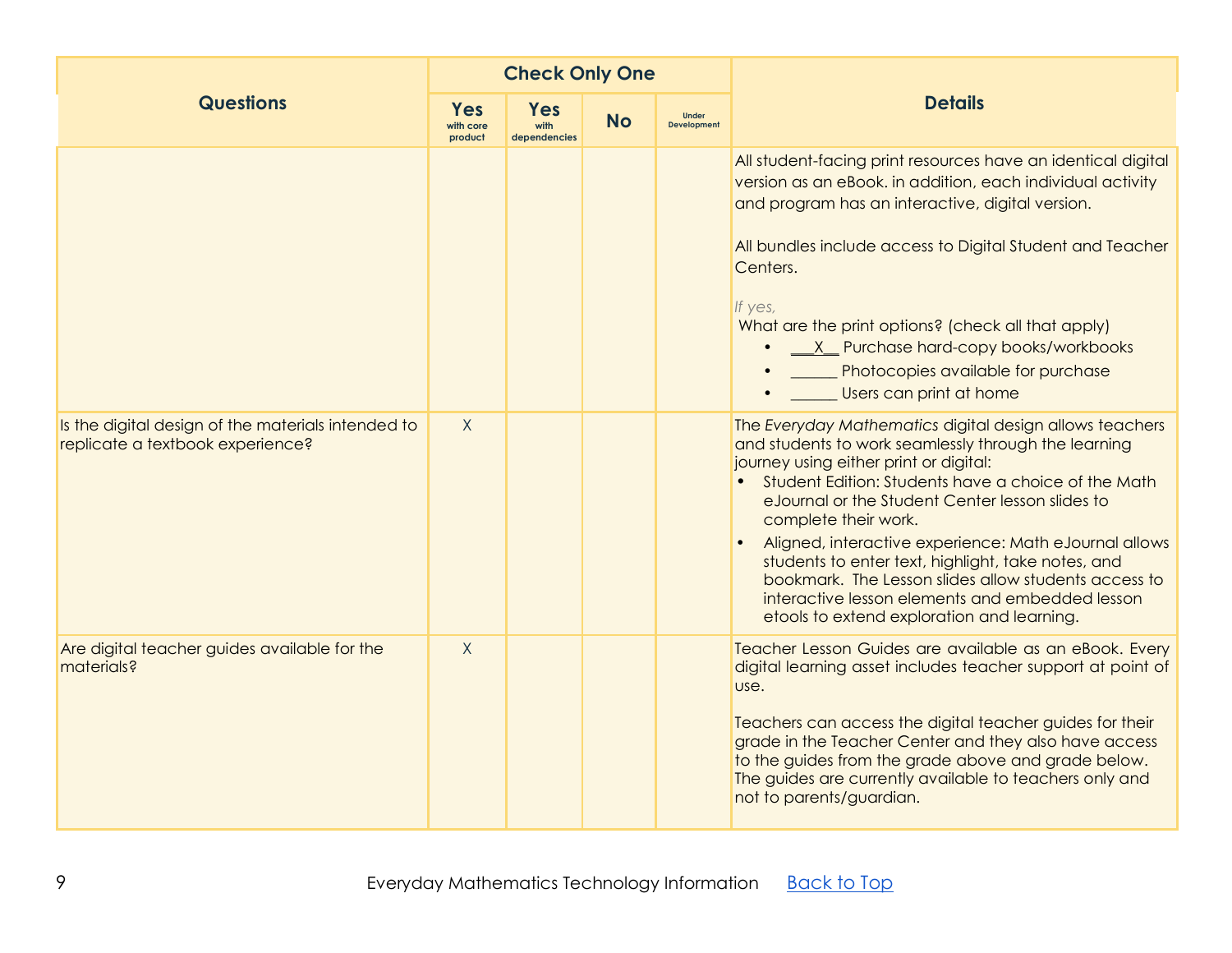|                                                                                        | <b>Check Only One</b>       |                                    |           |                                    |                                                                                                                                                                                                                                                                                                                                                                                                                                                                                                                                                                     |
|----------------------------------------------------------------------------------------|-----------------------------|------------------------------------|-----------|------------------------------------|---------------------------------------------------------------------------------------------------------------------------------------------------------------------------------------------------------------------------------------------------------------------------------------------------------------------------------------------------------------------------------------------------------------------------------------------------------------------------------------------------------------------------------------------------------------------|
| <b>Questions</b>                                                                       | Yes<br>with core<br>product | <b>Yes</b><br>with<br>dependencies | <b>No</b> | <b>Under</b><br><b>Development</b> | <b>Details</b>                                                                                                                                                                                                                                                                                                                                                                                                                                                                                                                                                      |
|                                                                                        |                             |                                    |           |                                    | All student-facing print resources have an identical digital<br>version as an eBook. in addition, each individual activity<br>and program has an interactive, digital version.<br>All bundles include access to Digital Student and Teacher<br>Centers.<br>If yes,<br>What are the print options? (check all that apply)<br>X Purchase hard-copy books/workbooks<br>Photocopies available for purchase<br>Users can print at home                                                                                                                                   |
| Is the digital design of the materials intended to<br>replicate a textbook experience? | X                           |                                    |           |                                    | The Everyday Mathematics digital design allows teachers<br>and students to work seamlessly through the learning<br>journey using either print or digital:<br>Student Edition: Students have a choice of the Math<br>eJournal or the Student Center lesson slides to<br>complete their work.<br>Aligned, interactive experience: Math eJournal allows<br>students to enter text, highlight, take notes, and<br>bookmark. The Lesson slides allow students access to<br>interactive lesson elements and embedded lesson<br>etools to extend exploration and learning. |
| Are digital teacher guides available for the<br>materials?                             | $\sf X$                     |                                    |           |                                    | Teacher Lesson Guides are available as an eBook. Every<br>digital learning asset includes teacher support at point of<br>use.<br>Teachers can access the digital teacher guides for their<br>grade in the Teacher Center and they also have access<br>to the guides from the grade above and grade below.<br>The guides are currently available to teachers only and<br>not to parents/guardian.                                                                                                                                                                    |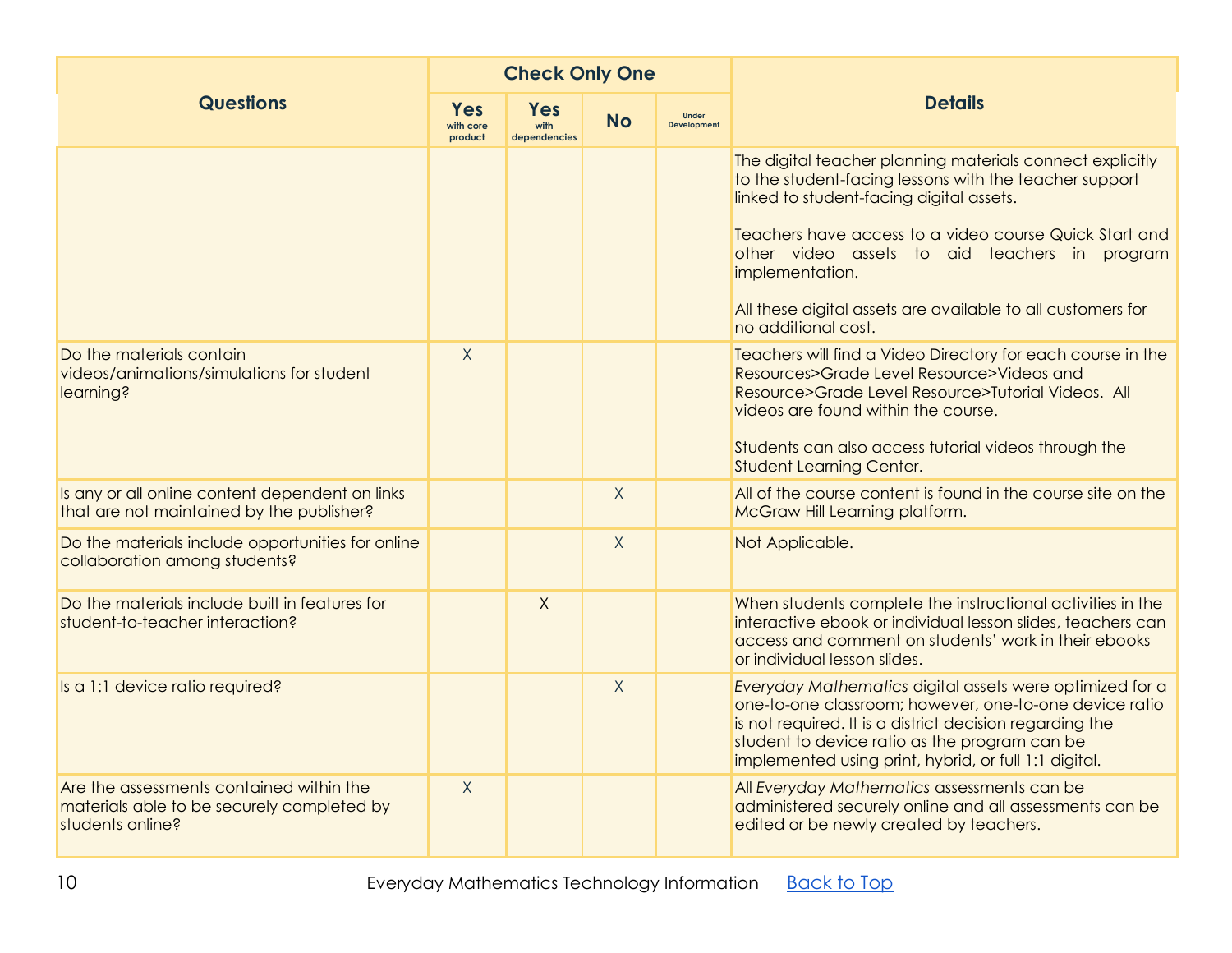|                                                                                                            |                                    | <b>Check Only One</b>              |           |                             |                                                                                                                                                                                                                                                                                          |
|------------------------------------------------------------------------------------------------------------|------------------------------------|------------------------------------|-----------|-----------------------------|------------------------------------------------------------------------------------------------------------------------------------------------------------------------------------------------------------------------------------------------------------------------------------------|
| <b>Questions</b>                                                                                           | <b>Yes</b><br>with core<br>product | <b>Yes</b><br>with<br>dependencies | <b>No</b> | Under<br><b>Development</b> | <b>Details</b>                                                                                                                                                                                                                                                                           |
|                                                                                                            |                                    |                                    |           |                             | The digital teacher planning materials connect explicitly<br>to the student-facing lessons with the teacher support<br>linked to student-facing digital assets.                                                                                                                          |
|                                                                                                            |                                    |                                    |           |                             | Teachers have access to a video course Quick Start and<br>other video assets to aid teachers in program<br>implementation.                                                                                                                                                               |
|                                                                                                            |                                    |                                    |           |                             | All these digital assets are available to all customers for<br>no additional cost.                                                                                                                                                                                                       |
| Do the materials contain<br>videos/animations/simulations for student<br>learning?                         | $\sf X$                            |                                    |           |                             | Teachers will find a Video Directory for each course in the<br>Resources>Grade Level Resource>Videos and<br>Resource>Grade Level Resource>Tutorial Videos. All<br>videos are found within the course.                                                                                    |
|                                                                                                            |                                    |                                    |           |                             | Students can also access tutorial videos through the<br>Student Learning Center.                                                                                                                                                                                                         |
| Is any or all online content dependent on links<br>that are not maintained by the publisher?               |                                    |                                    | $\sf X$   |                             | All of the course content is found in the course site on the<br>McGraw Hill Learning platform.                                                                                                                                                                                           |
| Do the materials include opportunities for online<br>collaboration among students?                         |                                    |                                    | $\sf X$   |                             | Not Applicable.                                                                                                                                                                                                                                                                          |
| Do the materials include built in features for<br>student-to-teacher interaction?                          |                                    | $\mathsf{X}$                       |           |                             | When students complete the instructional activities in the<br>interactive ebook or individual lesson slides, teachers can<br>access and comment on students' work in their ebooks<br>or individual lesson slides.                                                                        |
| Is a 1:1 device ratio required?                                                                            |                                    |                                    | $\sf X$   |                             | Everyday Mathematics digital assets were optimized for a<br>one-to-one classroom; however, one-to-one device ratio<br>is not required. It is a district decision regarding the<br>student to device ratio as the program can be<br>implemented using print, hybrid, or full 1:1 digital. |
| Are the assessments contained within the<br>materials able to be securely completed by<br>students online? | $\sf X$                            |                                    |           |                             | All Everyday Mathematics assessments can be<br>administered securely online and all assessments can be<br>edited or be newly created by teachers.                                                                                                                                        |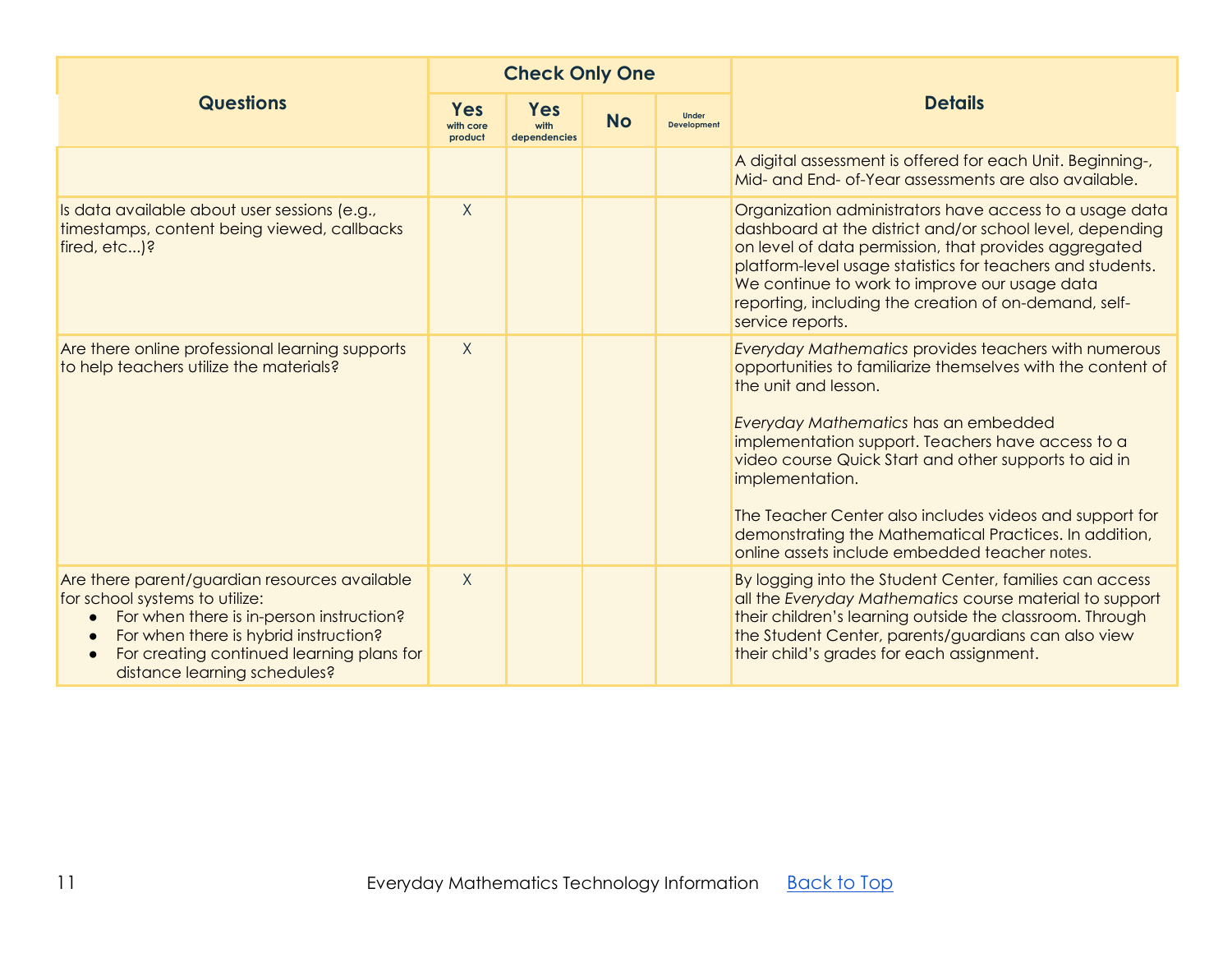|                                                                                                                                                                                                                                                                             | <b>Check Only One</b>              |                                                 |  |                                    |                                                                                                                                                                                                                                                                                                                                                                                                                                                                                                   |  |  |
|-----------------------------------------------------------------------------------------------------------------------------------------------------------------------------------------------------------------------------------------------------------------------------|------------------------------------|-------------------------------------------------|--|------------------------------------|---------------------------------------------------------------------------------------------------------------------------------------------------------------------------------------------------------------------------------------------------------------------------------------------------------------------------------------------------------------------------------------------------------------------------------------------------------------------------------------------------|--|--|
| <b>Questions</b>                                                                                                                                                                                                                                                            | <b>Yes</b><br>with core<br>product | <b>Yes</b><br><b>No</b><br>with<br>dependencies |  | <b>Under</b><br><b>Development</b> | <b>Details</b>                                                                                                                                                                                                                                                                                                                                                                                                                                                                                    |  |  |
|                                                                                                                                                                                                                                                                             |                                    |                                                 |  |                                    | A digital assessment is offered for each Unit. Beginning-,<br>Mid- and End- of-Year assessments are also available.                                                                                                                                                                                                                                                                                                                                                                               |  |  |
| Is data available about user sessions (e.g.,<br>timestamps, content being viewed, callbacks<br>fired, etc)?                                                                                                                                                                 | $\sf X$                            |                                                 |  |                                    | Organization administrators have access to a usage data<br>dashboard at the district and/or school level, depending<br>on level of data permission, that provides aggregated<br>platform-level usage statistics for teachers and students.<br>We continue to work to improve our usage data<br>reporting, including the creation of on-demand, self-<br>service reports.                                                                                                                          |  |  |
| Are there online professional learning supports<br>to help teachers utilize the materials?                                                                                                                                                                                  | $\sf X$                            |                                                 |  |                                    | <b>Everyday Mathematics provides teachers with numerous</b><br>opportunities to familiarize themselves with the content of<br>the unit and lesson.<br>Everyday Mathematics has an embedded<br>implementation support. Teachers have access to a<br>video course Quick Start and other supports to aid in<br>implementation.<br>The Teacher Center also includes videos and support for<br>demonstrating the Mathematical Practices. In addition,<br>online assets include embedded teacher notes. |  |  |
| Are there parent/guardian resources available<br>for school systems to utilize:<br>For when there is in-person instruction?<br>For when there is hybrid instruction?<br>$\bullet$<br>For creating continued learning plans for<br>$\bullet$<br>distance learning schedules? | $\sf X$                            |                                                 |  |                                    | By logging into the Student Center, families can access<br>all the Everyday Mathematics course material to support<br>their children's learning outside the classroom. Through<br>the Student Center, parents/guardians can also view<br>their child's grades for each assignment.                                                                                                                                                                                                                |  |  |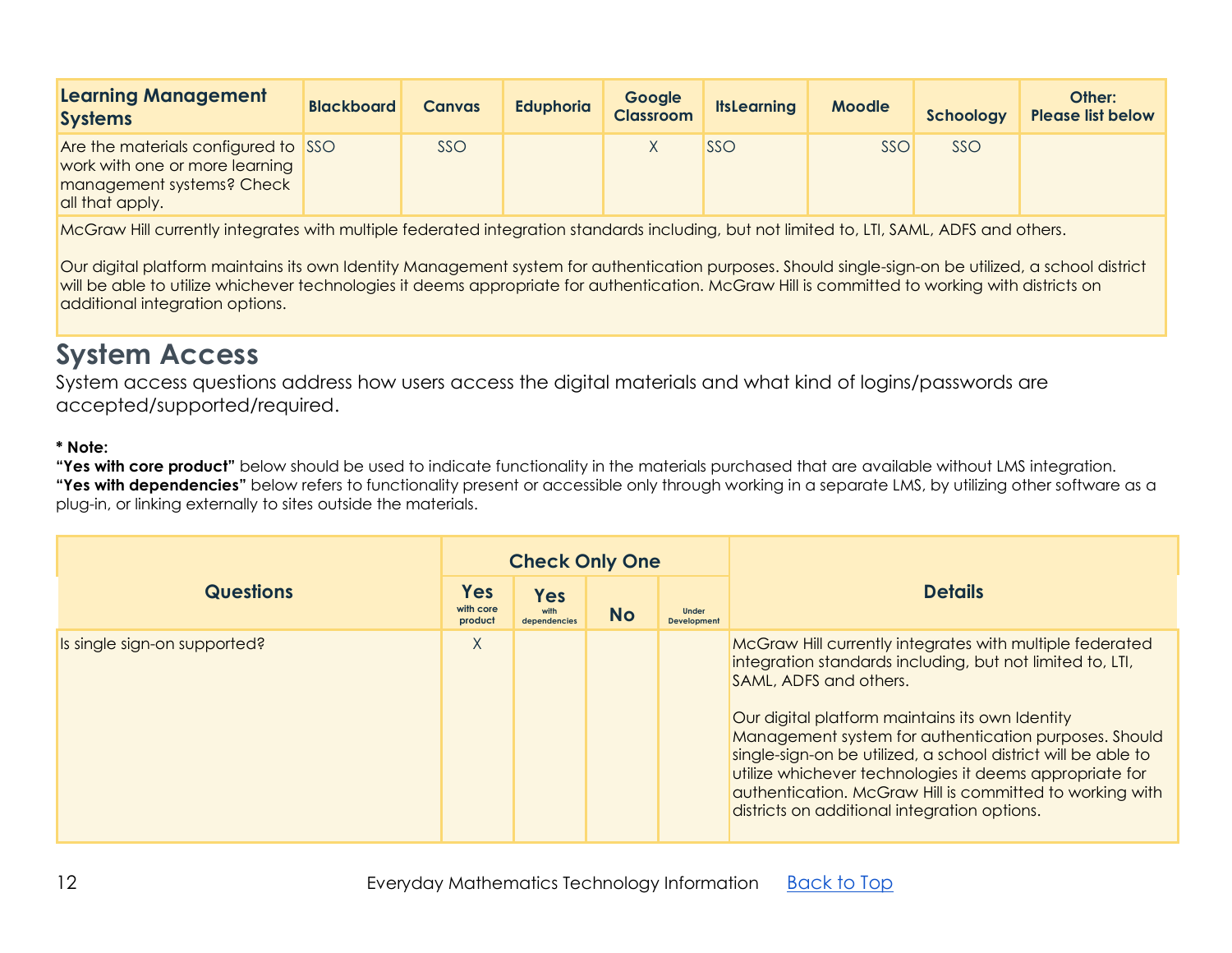| <b>Learning Management</b><br><b>Systems</b>                                                                          | <b>Blackboard</b> | <b>Canvas</b> | <b>Eduphoria</b> | Google<br><b>Classroom</b> | <b>ItsLearning</b> | <b>Moodle</b> | Schoology | Other:<br><b>Please list below</b> |
|-----------------------------------------------------------------------------------------------------------------------|-------------------|---------------|------------------|----------------------------|--------------------|---------------|-----------|------------------------------------|
| Are the materials configured to SSO<br>work with one or more learning<br>management systems? Check<br>all that apply. |                   | SSO           |                  |                            | SSO                | <b>SSC</b>    | SSO       |                                    |

McGraw Hill currently integrates with multiple federated integration standards including, but not limited to, LTI, SAML, ADFS and others.

Our digital platform maintains its own Identity Management system for authentication purposes. Should single-sign-on be utilized, a school district will be able to utilize whichever technologies it deems appropriate for authentication. McGraw Hill is committed to working with districts on additional integration options.

# <span id="page-11-0"></span>**System Access**

System access questions address how users access the digital materials and what kind of logins/passwords are accepted/supported/required.

#### **\* Note:**

|                              |                                    | <b>Check Only One</b>              |           |                                    |                                                                                                                                                                                                                                                                                                                                                                                                                                                                                                     |  |  |
|------------------------------|------------------------------------|------------------------------------|-----------|------------------------------------|-----------------------------------------------------------------------------------------------------------------------------------------------------------------------------------------------------------------------------------------------------------------------------------------------------------------------------------------------------------------------------------------------------------------------------------------------------------------------------------------------------|--|--|
| <b>Questions</b>             | <b>Yes</b><br>with core<br>product | <b>Yes</b><br>with<br>dependencies | <b>No</b> | <b>Under</b><br><b>Development</b> | <b>Details</b>                                                                                                                                                                                                                                                                                                                                                                                                                                                                                      |  |  |
| Is single sign-on supported? | X                                  |                                    |           |                                    | McGraw Hill currently integrates with multiple federated<br>integration standards including, but not limited to, LTI,<br>SAML, ADFS and others.<br>Our digital platform maintains its own Identity<br>Management system for authentication purposes. Should<br>single-sign-on be utilized, a school district will be able to<br>utilize whichever technologies it deems appropriate for<br>authentication. McGraw Hill is committed to working with<br>districts on additional integration options. |  |  |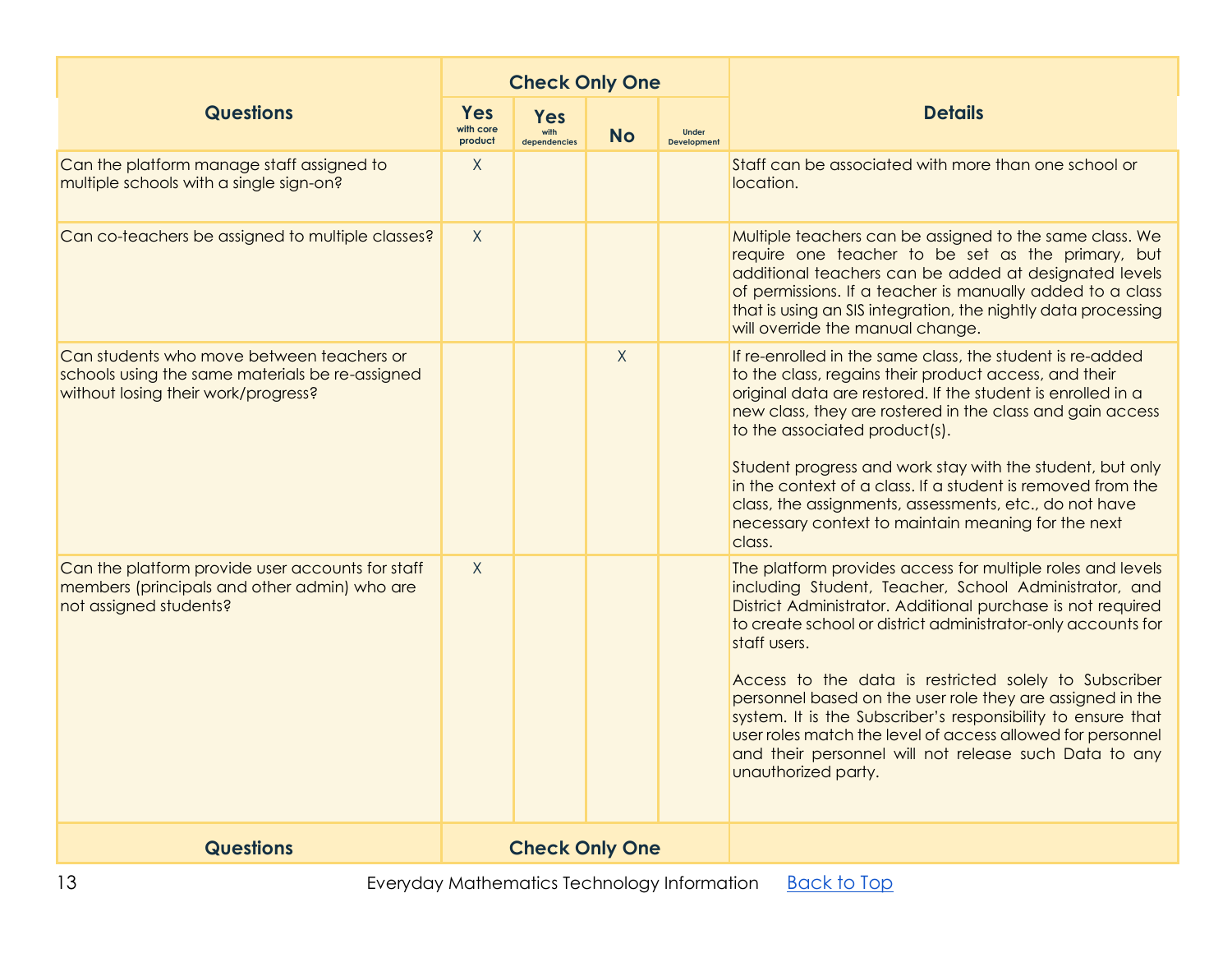|                                                                                                                                     |                             | <b>Check Only One</b>              |           |                                    |                                                                                                                                                                                                                                                                                                                                                                                                                                                                                                                                                                                                        |  |
|-------------------------------------------------------------------------------------------------------------------------------------|-----------------------------|------------------------------------|-----------|------------------------------------|--------------------------------------------------------------------------------------------------------------------------------------------------------------------------------------------------------------------------------------------------------------------------------------------------------------------------------------------------------------------------------------------------------------------------------------------------------------------------------------------------------------------------------------------------------------------------------------------------------|--|
| <b>Questions</b>                                                                                                                    | Yes<br>with core<br>product | <b>Yes</b><br>with<br>dependencies | <b>No</b> | <b>Under</b><br><b>Development</b> | <b>Details</b>                                                                                                                                                                                                                                                                                                                                                                                                                                                                                                                                                                                         |  |
| Can the platform manage staff assigned to<br>multiple schools with a single sign-on?                                                | X                           |                                    |           |                                    | Staff can be associated with more than one school or<br>location.                                                                                                                                                                                                                                                                                                                                                                                                                                                                                                                                      |  |
| Can co-teachers be assigned to multiple classes?                                                                                    | $\mathsf{X}$                |                                    |           |                                    | Multiple teachers can be assigned to the same class. We<br>require one teacher to be set as the primary, but<br>additional teachers can be added at designated levels<br>of permissions. If a teacher is manually added to a class<br>that is using an SIS integration, the nightly data processing<br>will override the manual change.                                                                                                                                                                                                                                                                |  |
| Can students who move between teachers or<br>schools using the same materials be re-assigned<br>without losing their work/progress? |                             |                                    | X         |                                    | If re-enrolled in the same class, the student is re-added<br>to the class, regains their product access, and their<br>original data are restored. If the student is enrolled in a<br>new class, they are rostered in the class and gain access<br>to the associated product(s).<br>Student progress and work stay with the student, but only<br>in the context of a class. If a student is removed from the<br>class, the assignments, assessments, etc., do not have<br>necessary context to maintain meaning for the next<br>class.                                                                  |  |
| Can the platform provide user accounts for staff<br>members (principals and other admin) who are<br>not assigned students?          | $\mathsf{X}$                |                                    |           |                                    | The platform provides access for multiple roles and levels<br>including Student, Teacher, School Administrator, and<br>District Administrator. Additional purchase is not required<br>to create school or district administrator-only accounts for<br>staff users.<br>Access to the data is restricted solely to Subscriber<br>personnel based on the user role they are assigned in the<br>system. It is the Subscriber's responsibility to ensure that<br>user roles match the level of access allowed for personnel<br>and their personnel will not release such Data to any<br>unauthorized party. |  |
| <b>Questions</b>                                                                                                                    |                             | <b>Check Only One</b>              |           |                                    |                                                                                                                                                                                                                                                                                                                                                                                                                                                                                                                                                                                                        |  |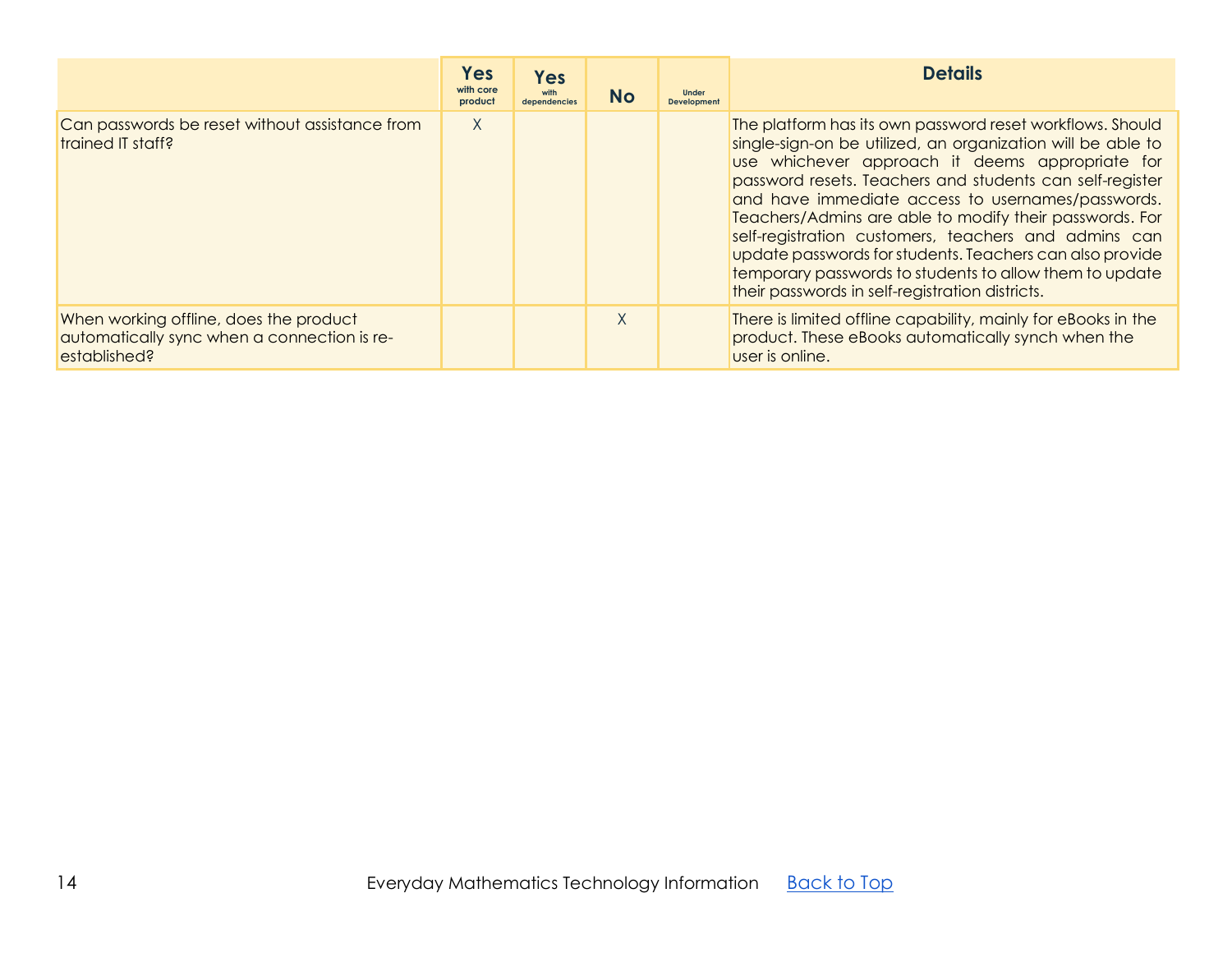<span id="page-13-0"></span>

|                                                                                                       | <b>Yes</b><br>with core<br>product | <b>Yes</b><br>with<br>dependencies | <b>No</b> | <b>Under</b><br><b>Development</b> | <b>Details</b>                                                                                                                                                                                                                                                                                                                                                                                                                                                                                                                                                                            |
|-------------------------------------------------------------------------------------------------------|------------------------------------|------------------------------------|-----------|------------------------------------|-------------------------------------------------------------------------------------------------------------------------------------------------------------------------------------------------------------------------------------------------------------------------------------------------------------------------------------------------------------------------------------------------------------------------------------------------------------------------------------------------------------------------------------------------------------------------------------------|
| Can passwords be reset without assistance from<br>trained IT staff?                                   | X                                  |                                    |           |                                    | The platform has its own password reset workflows. Should<br>single-sign-on be utilized, an organization will be able to<br>use whichever approach it deems appropriate for<br>password resets. Teachers and students can self-register<br>and have immediate access to usernames/passwords.<br>Teachers/Admins are able to modify their passwords. For<br>self-registration customers, teachers and admins can<br>update passwords for students. Teachers can also provide<br>temporary passwords to students to allow them to update<br>their passwords in self-registration districts. |
| When working offline, does the product<br>automatically sync when a connection is re-<br>established? |                                    |                                    | X         |                                    | There is limited offline capability, mainly for eBooks in the<br>product. These eBooks automatically synch when the<br>user is online.                                                                                                                                                                                                                                                                                                                                                                                                                                                    |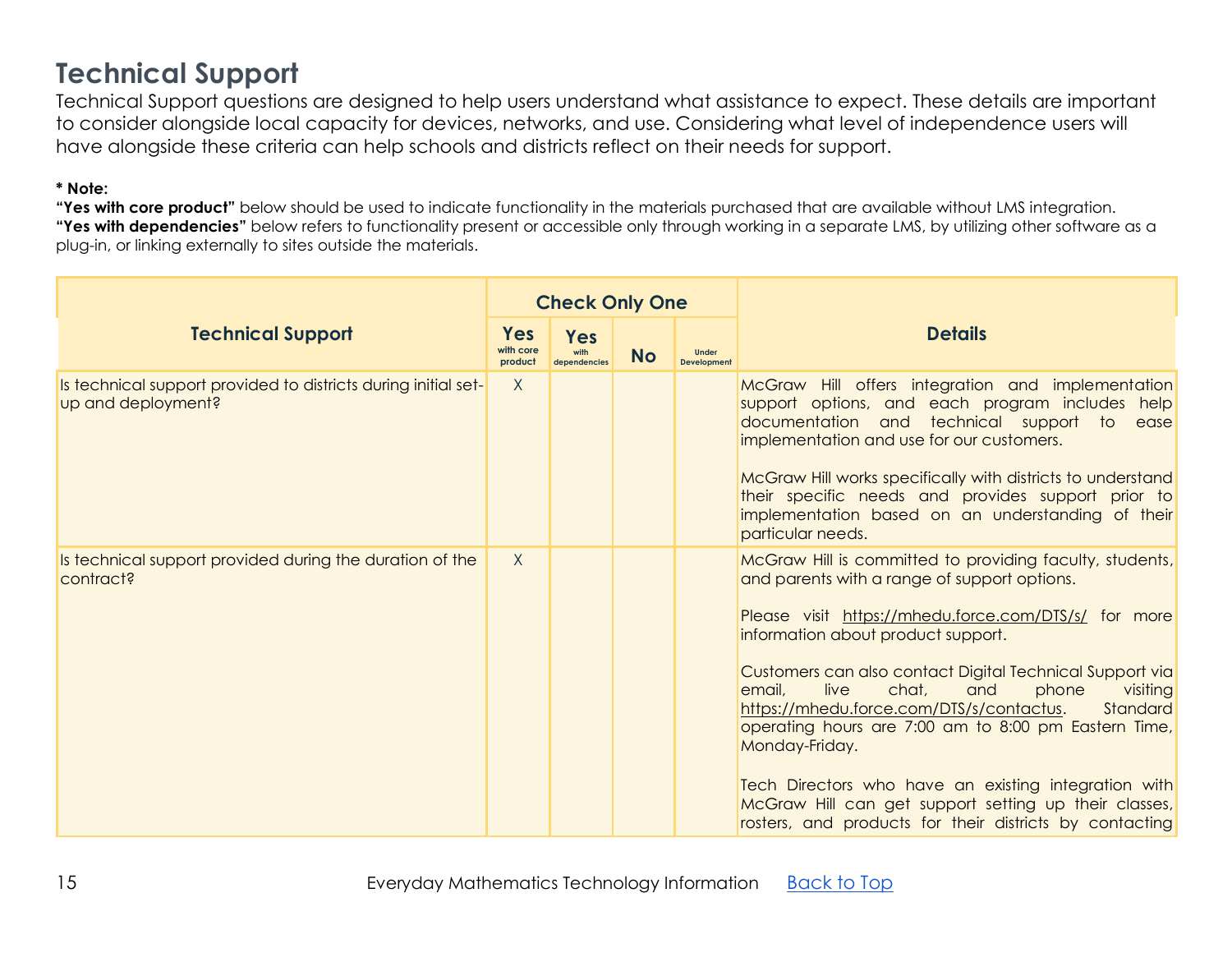### **Technical Support**

Technical Support questions are designed to help users understand what assistance to expect. These details are important to consider alongside local capacity for devices, networks, and use. Considering what level of independence users will have alongside these criteria can help schools and districts reflect on their needs for support.

#### **\* Note:**

|                                                                                      |                             | <b>Check Only One</b>              |           |                                    |                                                                                                                                                                                                                                                   |  |
|--------------------------------------------------------------------------------------|-----------------------------|------------------------------------|-----------|------------------------------------|---------------------------------------------------------------------------------------------------------------------------------------------------------------------------------------------------------------------------------------------------|--|
| <b>Technical Support</b>                                                             | Yes<br>with core<br>product | <b>Yes</b><br>with<br>dependencies | <b>No</b> | <b>Under</b><br><b>Development</b> | <b>Details</b>                                                                                                                                                                                                                                    |  |
| Is technical support provided to districts during initial set-<br>up and deployment? | X                           |                                    |           |                                    | McGraw Hill offers integration and implementation<br>support options, and each program includes help<br>documentation and technical support to ease<br>implementation and use for our customers.                                                  |  |
|                                                                                      |                             |                                    |           |                                    | McGraw Hill works specifically with districts to understand<br>their specific needs and provides support prior to<br>implementation based on an understanding of their<br>particular needs.                                                       |  |
| Is technical support provided during the duration of the<br>contract?                | $\mathsf{X}$                |                                    |           |                                    | McGraw Hill is committed to providing faculty, students,<br>and parents with a range of support options.                                                                                                                                          |  |
|                                                                                      |                             |                                    |           |                                    | Please visit https://mhedu.force.com/DTS/s/ for more<br>information about product support.                                                                                                                                                        |  |
|                                                                                      |                             |                                    |           |                                    | Customers can also contact Digital Technical Support via<br>live<br>chat,<br>email,<br>and<br>phone<br>visiting<br>https://mhedu.force.com/DTS/s/contactus.<br>Standard<br>operating hours are 7:00 am to 8:00 pm Eastern Time,<br>Monday-Friday. |  |
|                                                                                      |                             |                                    |           |                                    | Tech Directors who have an existing integration with<br>McGraw Hill can get support setting up their classes,<br>rosters, and products for their districts by contacting                                                                          |  |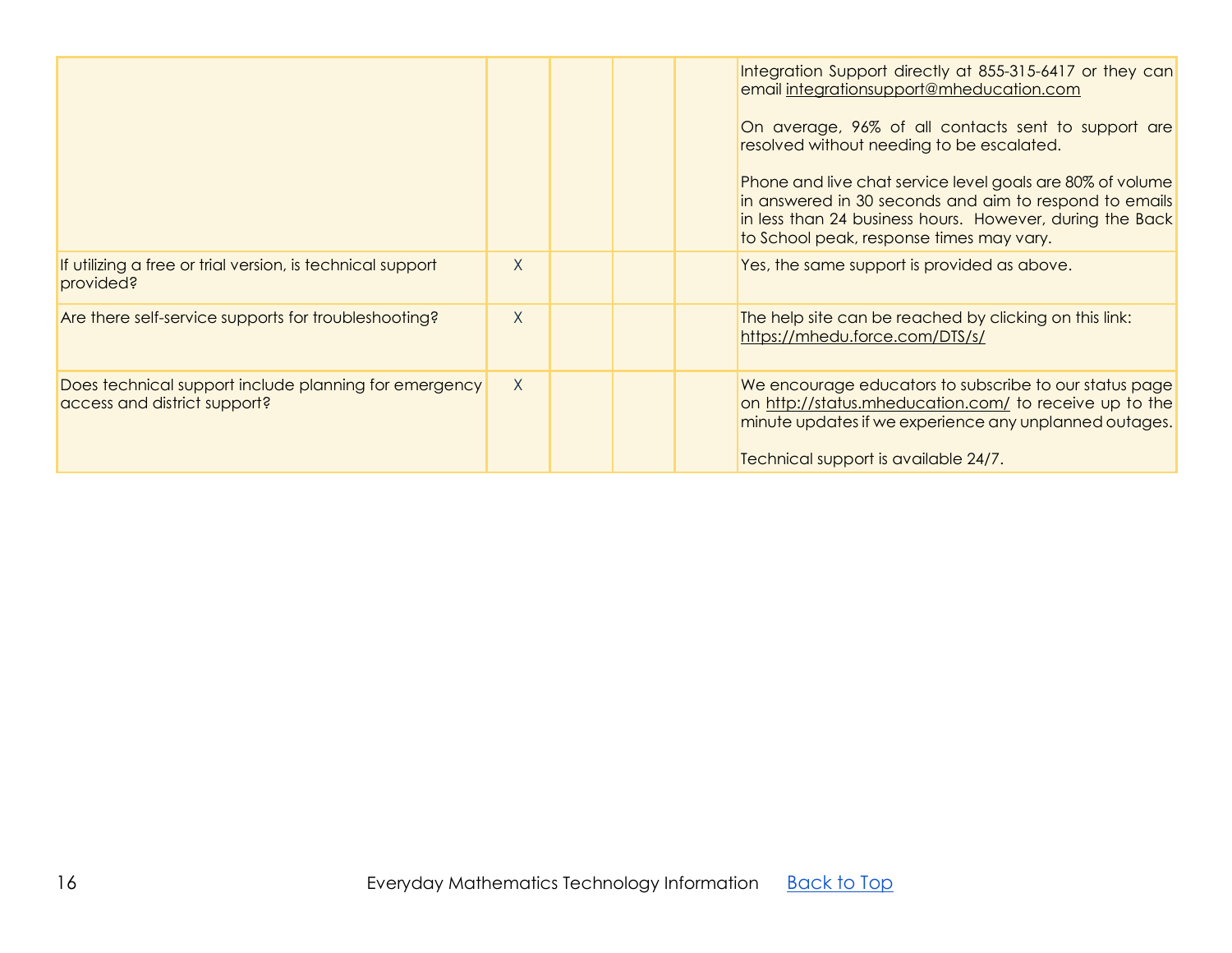<span id="page-15-0"></span>

|                                                                                       |        |  | Integration Support directly at 855-315-6417 or they can<br>email integrationsupport@mheducation.com<br>On average, 96% of all contacts sent to support are<br>resolved without needing to be escalated.<br>Phone and live chat service level goals are 80% of volume<br>in answered in 30 seconds and aim to respond to emails<br>in less than 24 business hours. However, during the Back<br>to School peak, response times may vary. |
|---------------------------------------------------------------------------------------|--------|--|-----------------------------------------------------------------------------------------------------------------------------------------------------------------------------------------------------------------------------------------------------------------------------------------------------------------------------------------------------------------------------------------------------------------------------------------|
| If utilizing a free or trial version, is technical support<br>provided?               | $\chi$ |  | Yes, the same support is provided as above.                                                                                                                                                                                                                                                                                                                                                                                             |
| Are there self-service supports for troubleshooting?                                  | $\chi$ |  | The help site can be reached by clicking on this link:<br>https://mhedu.force.com/DTS/s/                                                                                                                                                                                                                                                                                                                                                |
| Does technical support include planning for emergency<br>access and district support? | $\chi$ |  | We encourage educators to subscribe to our status page<br>on http://status.mheducation.com/ to receive up to the<br>minute updates if we experience any unplanned outages.<br>Technical support is available 24/7.                                                                                                                                                                                                                      |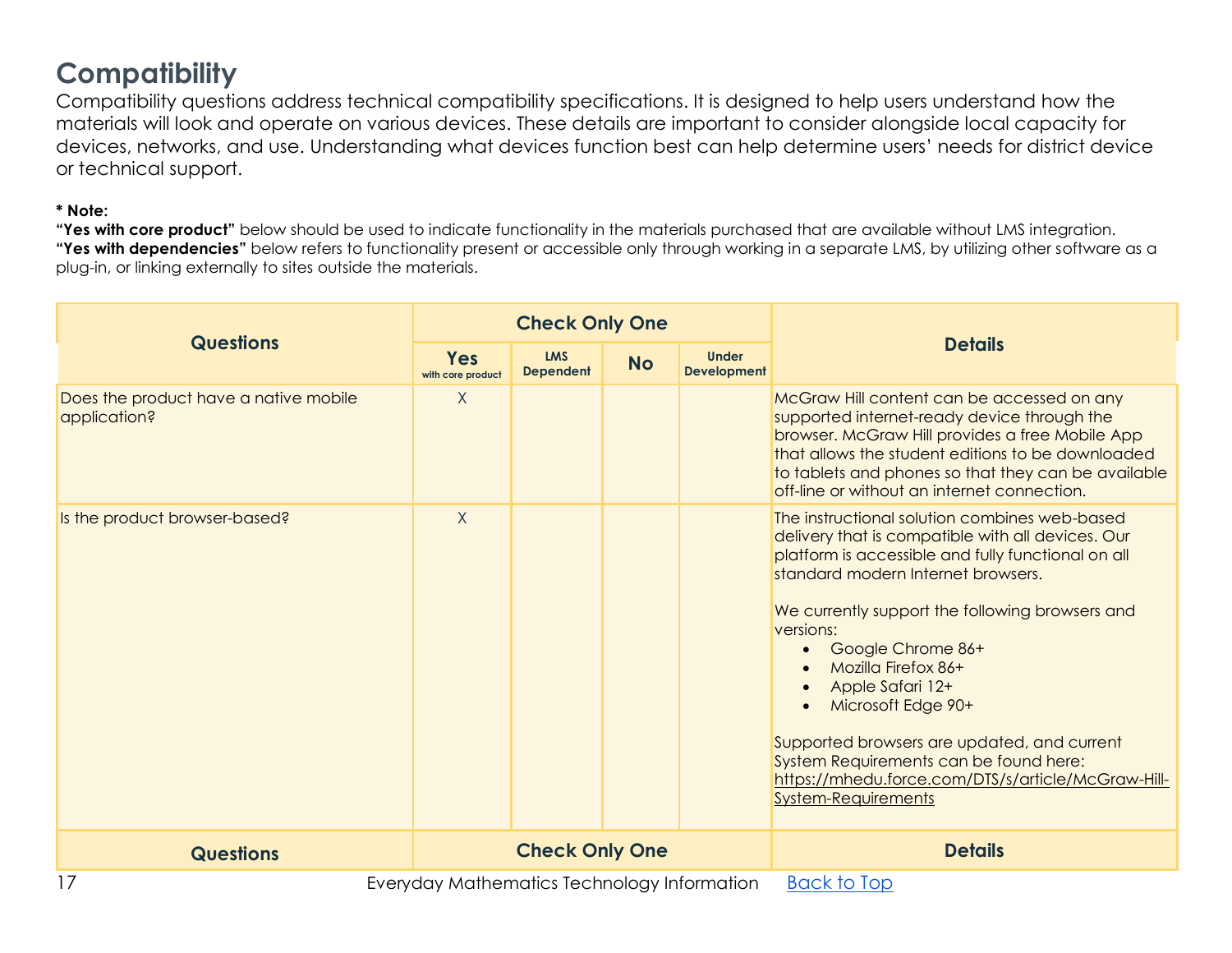### **Compatibility**

Compatibility questions address technical compatibility specifications. It is designed to help users understand how the materials will look and operate on various devices. These details are important to consider alongside local capacity for devices, networks, and use. Understanding what devices function best can help determine users' needs for district device or technical support.

#### **\* Note:**

|                                                       | <b>Check Only One</b>                                                          |                       |  |                                    |                                                                                                                                                                                                                                                                                                                                                                                                                                                                                                                                   |  |  |
|-------------------------------------------------------|--------------------------------------------------------------------------------|-----------------------|--|------------------------------------|-----------------------------------------------------------------------------------------------------------------------------------------------------------------------------------------------------------------------------------------------------------------------------------------------------------------------------------------------------------------------------------------------------------------------------------------------------------------------------------------------------------------------------------|--|--|
| <b>Questions</b>                                      | <b>LMS</b><br><b>Yes</b><br><b>No</b><br><b>Dependent</b><br>with core product |                       |  | <b>Under</b><br><b>Development</b> | <b>Details</b>                                                                                                                                                                                                                                                                                                                                                                                                                                                                                                                    |  |  |
| Does the product have a native mobile<br>application? | $\sf X$                                                                        |                       |  |                                    | McGraw Hill content can be accessed on any<br>supported internet-ready device through the<br>browser. McGraw Hill provides a free Mobile App<br>that allows the student editions to be downloaded<br>to tablets and phones so that they can be available<br>off-line or without an internet connection.                                                                                                                                                                                                                           |  |  |
| Is the product browser-based?                         | $\sf X$                                                                        |                       |  |                                    | The instructional solution combines web-based<br>delivery that is compatible with all devices. Our<br>platform is accessible and fully functional on all<br>standard modern Internet browsers.<br>We currently support the following browsers and<br>versions:<br>Google Chrome 86+<br>Mozilla Firefox 86+<br>Apple Safari 12+<br>Microsoft Edge 90+<br>Supported browsers are updated, and current<br>System Requirements can be found here:<br>https://mhedu.force.com/DTS/s/article/McGraw-Hill-<br><b>System-Requirements</b> |  |  |
| <b>Questions</b>                                      |                                                                                | <b>Check Only One</b> |  |                                    | <b>Details</b>                                                                                                                                                                                                                                                                                                                                                                                                                                                                                                                    |  |  |
| 17                                                    | Everyday Mathematics Technology Information                                    |                       |  |                                    | <b>Back to Top</b>                                                                                                                                                                                                                                                                                                                                                                                                                                                                                                                |  |  |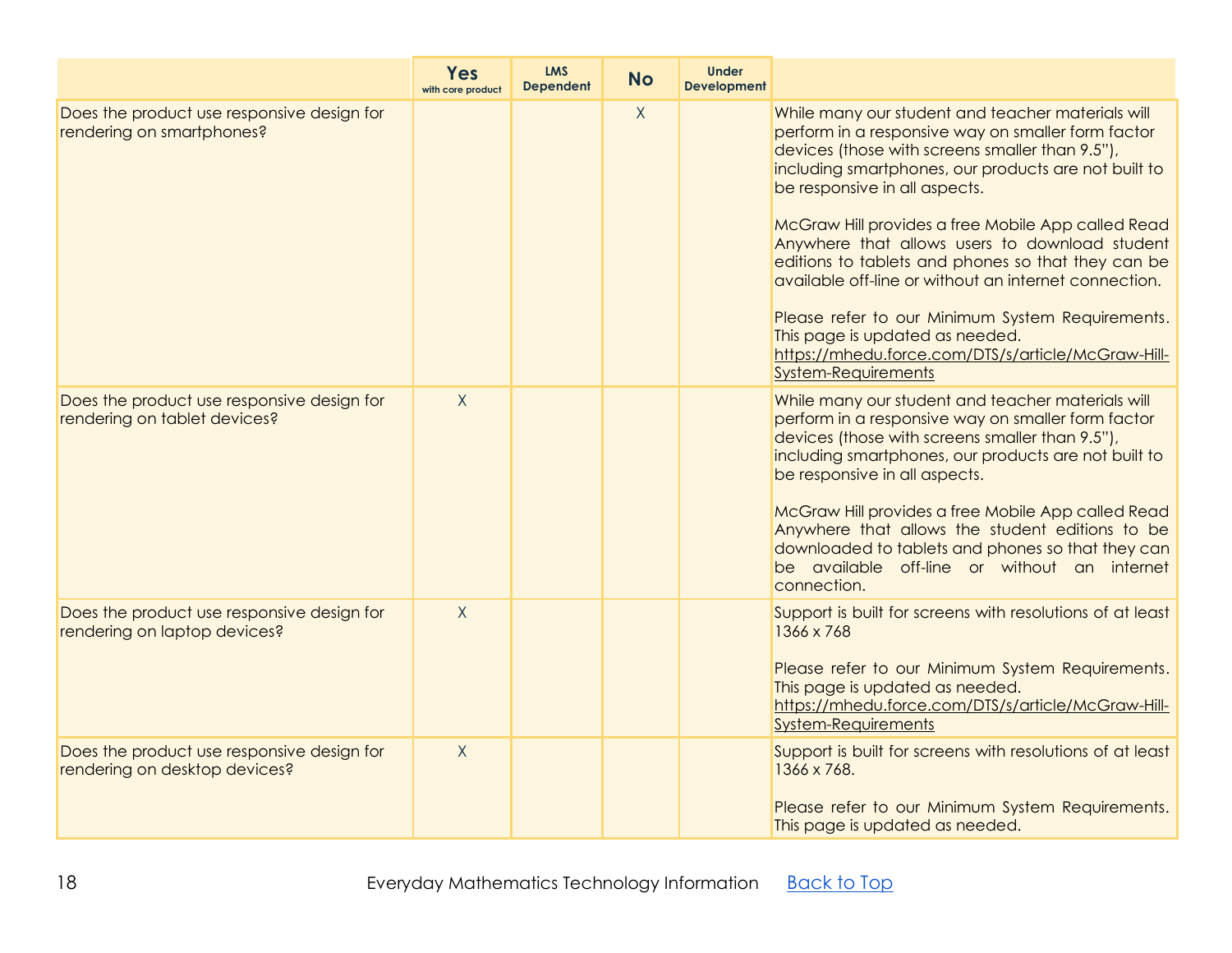|                                                                             | Yes<br>with core product | <b>LMS</b><br><b>Dependent</b> | <b>No</b> | <b>Under</b><br><b>Development</b> |                                                                                                                                                                                                                                                                                                                                                                                                                                                                                                                                                                                                                                                       |
|-----------------------------------------------------------------------------|--------------------------|--------------------------------|-----------|------------------------------------|-------------------------------------------------------------------------------------------------------------------------------------------------------------------------------------------------------------------------------------------------------------------------------------------------------------------------------------------------------------------------------------------------------------------------------------------------------------------------------------------------------------------------------------------------------------------------------------------------------------------------------------------------------|
| Does the product use responsive design for<br>rendering on smartphones?     |                          |                                | X         |                                    | While many our student and teacher materials will<br>perform in a responsive way on smaller form factor<br>devices (those with screens smaller than 9.5"),<br>including smartphones, our products are not built to<br>be responsive in all aspects.<br>McGraw Hill provides a free Mobile App called Read<br>Anywhere that allows users to download student<br>editions to tablets and phones so that they can be<br>available off-line or without an internet connection.<br>Please refer to our Minimum System Requirements.<br>This page is updated as needed.<br>https://mhedu.force.com/DTS/s/article/McGraw-Hill-<br><b>System-Requirements</b> |
| Does the product use responsive design for<br>rendering on tablet devices?  | $\mathsf{X}$             |                                |           |                                    | While many our student and teacher materials will<br>perform in a responsive way on smaller form factor<br>devices (those with screens smaller than 9.5"),<br>including smartphones, our products are not built to<br>be responsive in all aspects.<br>McGraw Hill provides a free Mobile App called Read<br>Anywhere that allows the student editions to be<br>downloaded to tablets and phones so that they can<br>be available off-line or without an internet<br>connection.                                                                                                                                                                      |
| Does the product use responsive design for<br>rendering on laptop devices?  | $\mathsf{X}$             |                                |           |                                    | Support is built for screens with resolutions of at least<br>1366 x 768<br>Please refer to our Minimum System Requirements.<br>This page is updated as needed.<br>https://mhedu.force.com/DTS/s/article/McGraw-Hill-<br><b>System-Requirements</b>                                                                                                                                                                                                                                                                                                                                                                                                    |
| Does the product use responsive design for<br>rendering on desktop devices? | $\mathsf{X}$             |                                |           |                                    | Support is built for screens with resolutions of at least<br>1366 x 768.<br>Please refer to our Minimum System Requirements.<br>This page is updated as needed.                                                                                                                                                                                                                                                                                                                                                                                                                                                                                       |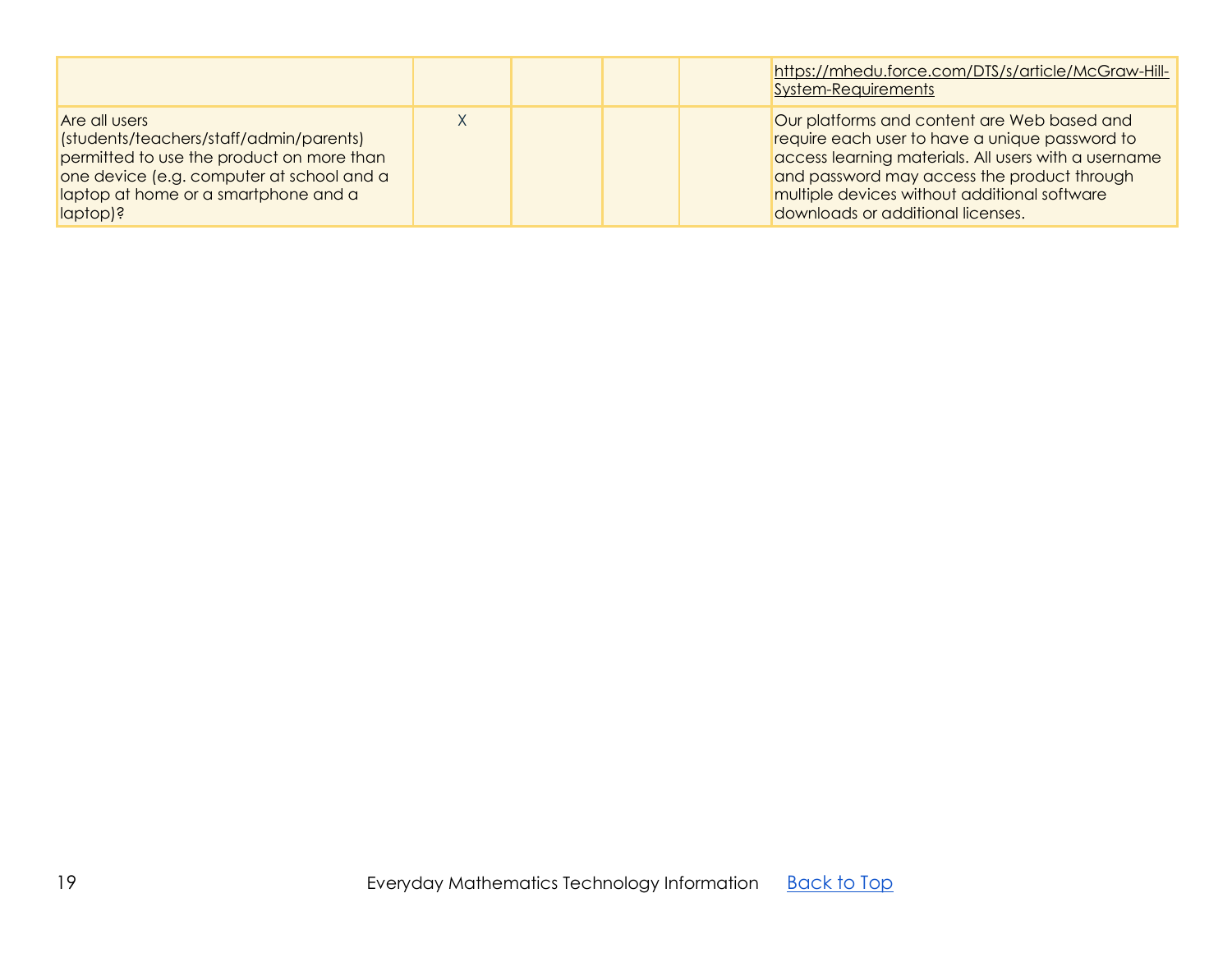|                                                                                                                                                                                                        |  |  | https://mhedu.force.com/DTS/s/article/McGraw-Hill-<br>System-Requirements                                                                                                                                                                                                                 |
|--------------------------------------------------------------------------------------------------------------------------------------------------------------------------------------------------------|--|--|-------------------------------------------------------------------------------------------------------------------------------------------------------------------------------------------------------------------------------------------------------------------------------------------|
| Are all users<br>(students/teachers/staff/admin/parents)<br>permitted to use the product on more than<br>one device (e.g. computer at school and a<br>laptop at home or a smartphone and a<br>laptop)? |  |  | Our platforms and content are Web based and<br>require each user to have a unique password to<br>access learning materials. All users with a username<br>and password may access the product through<br>multiple devices without additional software<br>downloads or additional licenses. |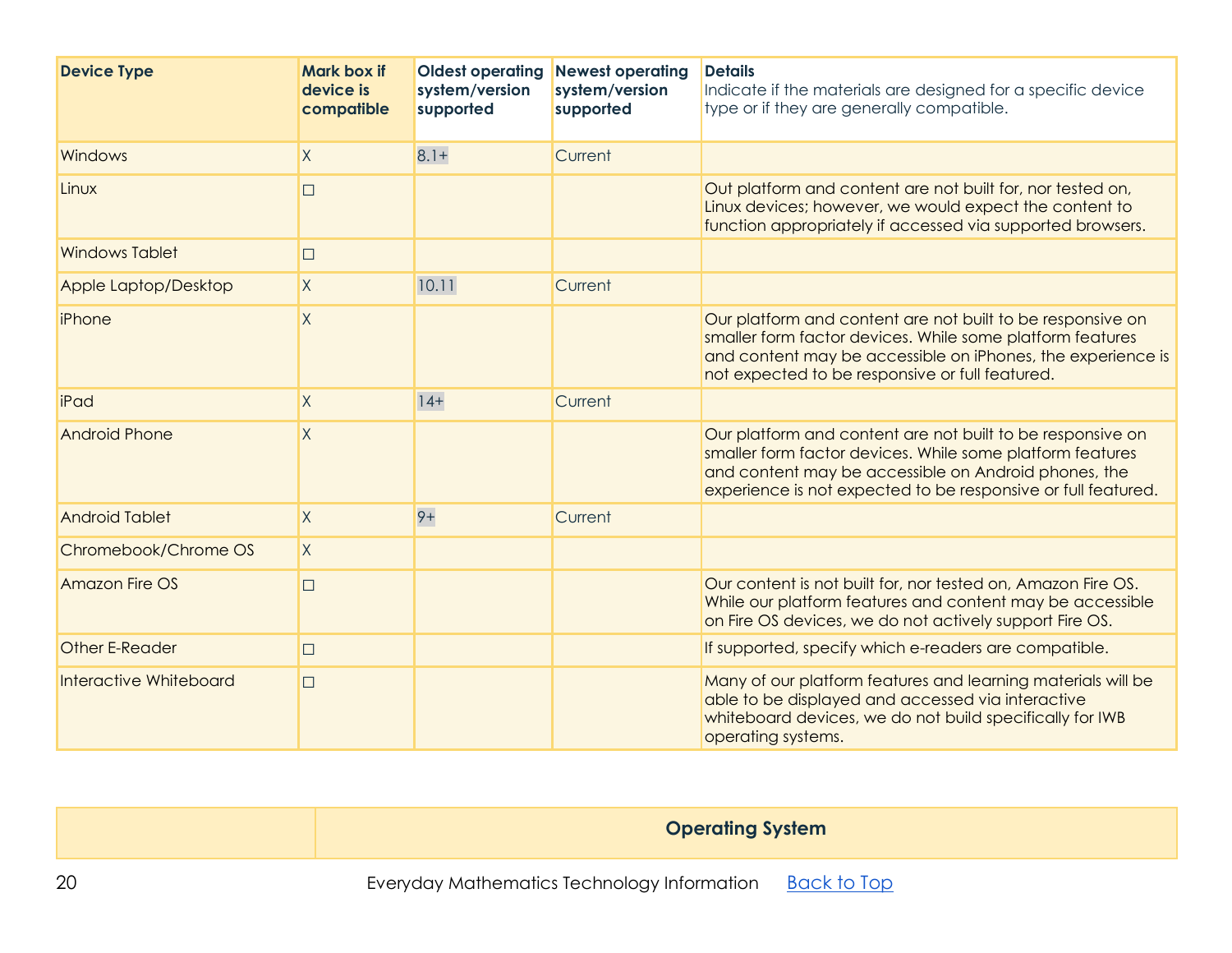| <b>Device Type</b>     | <b>Mark box if</b><br>device is<br>compatible | <b>Oldest operating</b><br>system/version<br>supported | <b>Newest operating</b><br>system/version<br>supported | <b>Details</b><br>Indicate if the materials are designed for a specific device<br>type or if they are generally compatible.                                                                                                                      |
|------------------------|-----------------------------------------------|--------------------------------------------------------|--------------------------------------------------------|--------------------------------------------------------------------------------------------------------------------------------------------------------------------------------------------------------------------------------------------------|
| Windows                | $\overline{X}$                                | $8.1 +$                                                | Current                                                |                                                                                                                                                                                                                                                  |
| Linux                  | $\Box$                                        |                                                        |                                                        | Out platform and content are not built for, nor tested on,<br>Linux devices; however, we would expect the content to<br>function appropriately if accessed via supported browsers.                                                               |
| <b>Windows Tablet</b>  | $\Box$                                        |                                                        |                                                        |                                                                                                                                                                                                                                                  |
| Apple Laptop/Desktop   | $\mathsf{X}$                                  | 10.11                                                  | Current                                                |                                                                                                                                                                                                                                                  |
| iPhone                 | $\overline{X}$                                |                                                        |                                                        | Our platform and content are not built to be responsive on<br>smaller form factor devices. While some platform features<br>and content may be accessible on iPhones, the experience is<br>not expected to be responsive or full featured.        |
| iPad                   | $\sf X$                                       | $ 4+$                                                  | Current                                                |                                                                                                                                                                                                                                                  |
| <b>Android Phone</b>   | $\sf X$                                       |                                                        |                                                        | Our platform and content are not built to be responsive on<br>smaller form factor devices. While some platform features<br>and content may be accessible on Android phones, the<br>experience is not expected to be responsive or full featured. |
| <b>Android Tablet</b>  | $\overline{X}$                                | $9+$                                                   | Current                                                |                                                                                                                                                                                                                                                  |
| Chromebook/Chrome OS   | $\mathsf{X}$                                  |                                                        |                                                        |                                                                                                                                                                                                                                                  |
| <b>Amazon Fire OS</b>  | $\Box$                                        |                                                        |                                                        | Our content is not built for, nor tested on, Amazon Fire OS.<br>While our platform features and content may be accessible<br>on Fire OS devices, we do not actively support Fire OS.                                                             |
| Other E-Reader         | $\Box$                                        |                                                        |                                                        | If supported, specify which e-readers are compatible.                                                                                                                                                                                            |
| Interactive Whiteboard | $\Box$                                        |                                                        |                                                        | Many of our platform features and learning materials will be<br>able to be displayed and accessed via interactive<br>whiteboard devices, we do not build specifically for IWB<br>operating systems.                                              |

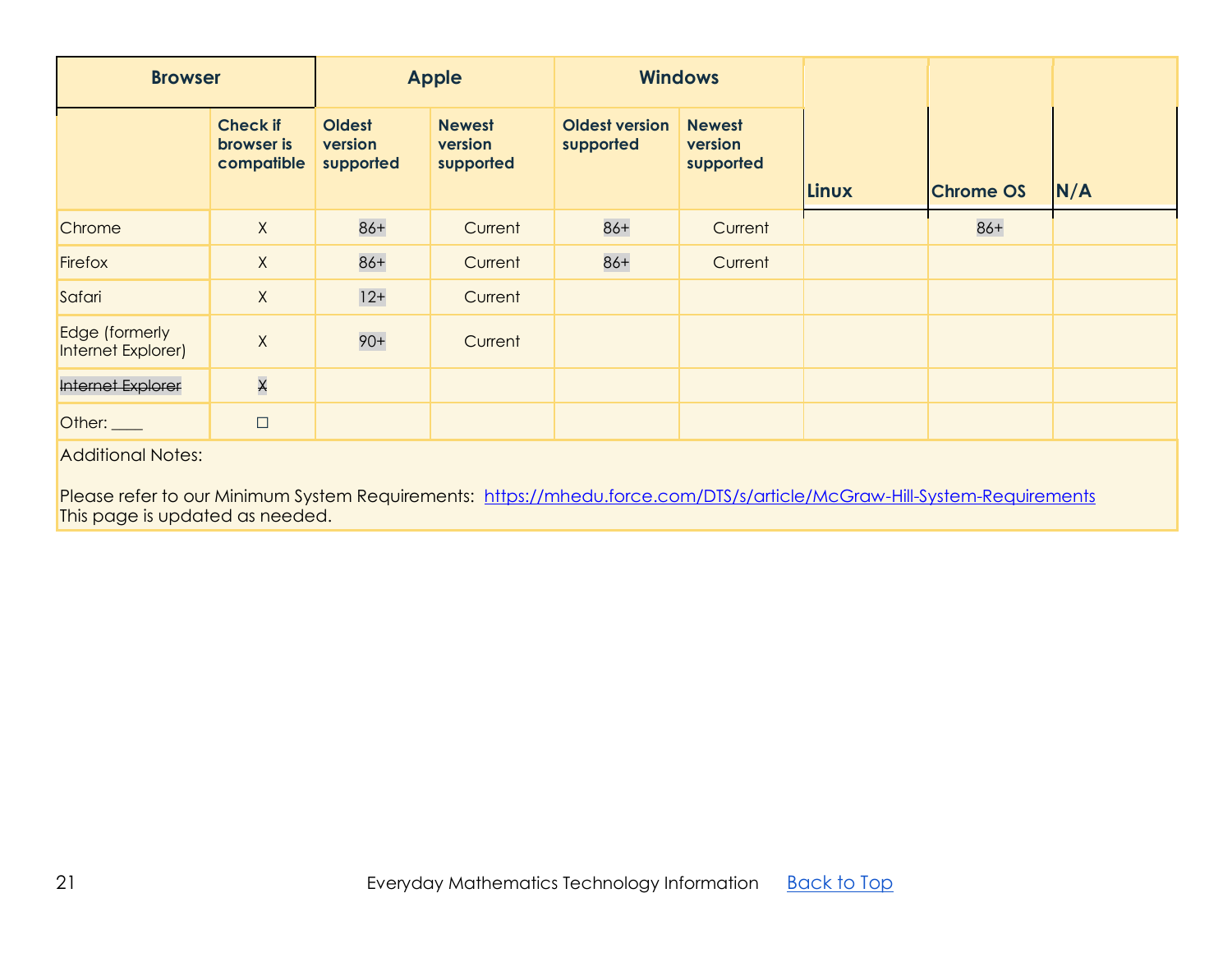| <b>Browser</b>                                                                                                                                     |                                             | <b>Apple</b>                          |                                       | <b>Windows</b>                     |                                       |       |                  |     |  |  |
|----------------------------------------------------------------------------------------------------------------------------------------------------|---------------------------------------------|---------------------------------------|---------------------------------------|------------------------------------|---------------------------------------|-------|------------------|-----|--|--|
|                                                                                                                                                    | <b>Check if</b><br>browser is<br>compatible | <b>Oldest</b><br>version<br>supported | <b>Newest</b><br>version<br>supported | <b>Oldest version</b><br>supported | <b>Newest</b><br>version<br>supported | Linux | <b>Chrome OS</b> | N/A |  |  |
| Chrome                                                                                                                                             | $\mathsf{X}$                                | $86+$                                 | Current                               | $86+$                              | Current                               |       | $86+$            |     |  |  |
| Firefox                                                                                                                                            | $\mathsf{X}$                                | $86+$                                 | Current                               | $86+$                              | Current                               |       |                  |     |  |  |
| Safari                                                                                                                                             | $\mathsf{X}$                                | $12+$                                 | Current                               |                                    |                                       |       |                  |     |  |  |
| Edge (formerly<br>Internet Explorer)                                                                                                               | $\mathsf X$                                 | $90+$                                 | Current                               |                                    |                                       |       |                  |     |  |  |
| Internet Explorer                                                                                                                                  | $\overline{\mathsf{X}}$                     |                                       |                                       |                                    |                                       |       |                  |     |  |  |
| Other: $\_\_$                                                                                                                                      | $\Box$                                      |                                       |                                       |                                    |                                       |       |                  |     |  |  |
| <b>Additional Notes:</b><br>Please refer to our Minimum System Requirements: https://mhedu.force.com/DTS/s/article/McGraw-Hill-System-Requirements |                                             |                                       |                                       |                                    |                                       |       |                  |     |  |  |

This page is updated as needed.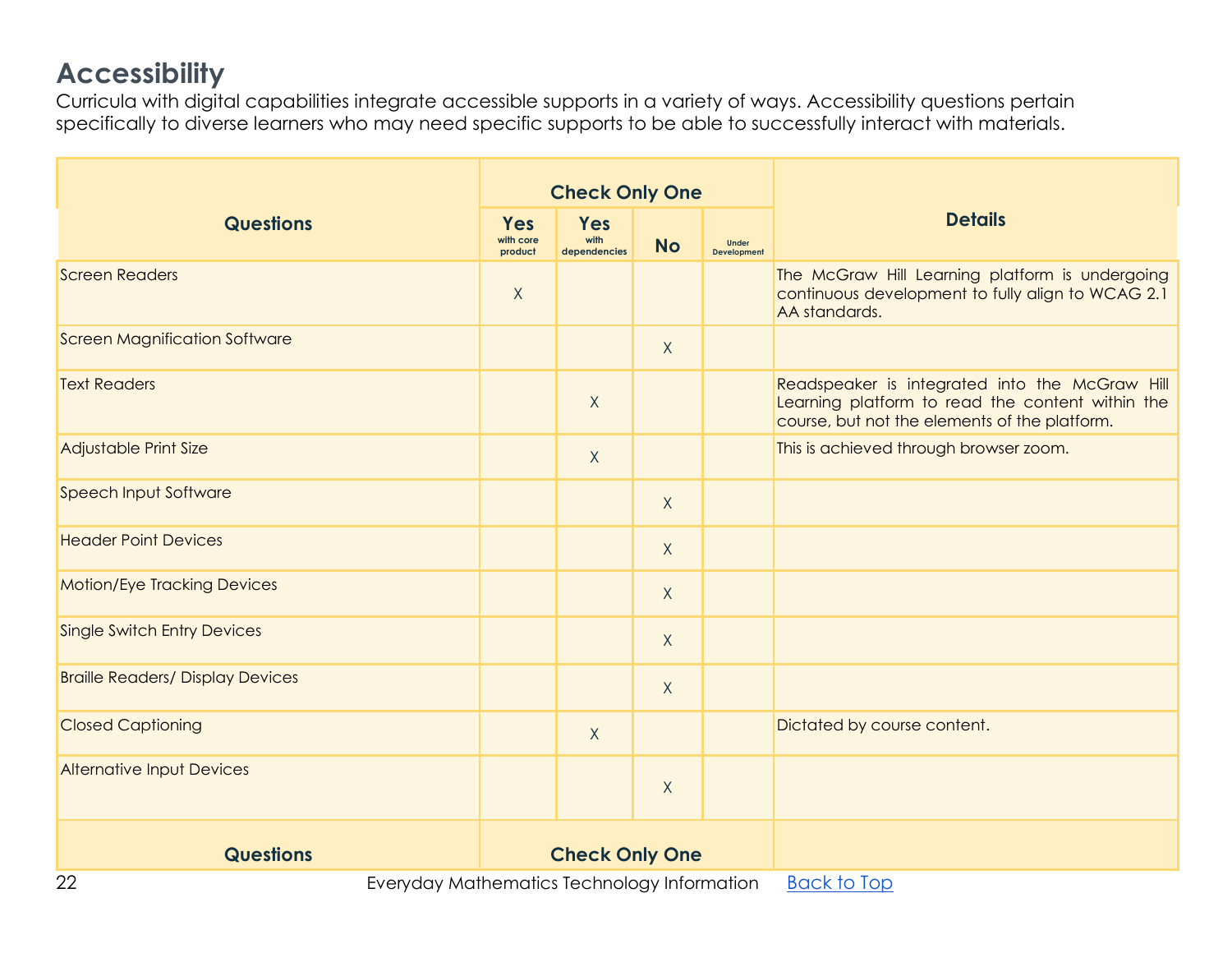## **Accessibility**

Curricula with digital capabilities integrate accessible supports in a variety of ways. Accessibility questions pertain specifically to diverse learners who may need specific supports to be able to successfully interact with materials.

|                                         |                                                                                                                                             | <b>Check Only One</b>       |              |                                    |                                                                                                                                                     |
|-----------------------------------------|---------------------------------------------------------------------------------------------------------------------------------------------|-----------------------------|--------------|------------------------------------|-----------------------------------------------------------------------------------------------------------------------------------------------------|
| <b>Questions</b>                        | <b>Yes</b><br>with core<br>product                                                                                                          | Yes<br>with<br>dependencies | <b>No</b>    | <b>Under</b><br><b>Development</b> | <b>Details</b>                                                                                                                                      |
| <b>Screen Readers</b>                   | X                                                                                                                                           |                             |              |                                    | The McGraw Hill Learning platform is undergoing<br>continuous development to fully align to WCAG 2.1<br>AA standards.                               |
| <b>Screen Magnification Software</b>    |                                                                                                                                             |                             | X            |                                    |                                                                                                                                                     |
| <b>Text Readers</b>                     |                                                                                                                                             | X                           |              |                                    | Readspeaker is integrated into the McGraw Hill<br>Learning platform to read the content within the<br>course, but not the elements of the platform. |
| Adjustable Print Size                   |                                                                                                                                             | $\mathsf X$                 |              |                                    | This is achieved through browser zoom.                                                                                                              |
| Speech Input Software                   |                                                                                                                                             |                             | X            |                                    |                                                                                                                                                     |
| <b>Header Point Devices</b>             |                                                                                                                                             |                             | X            |                                    |                                                                                                                                                     |
| <b>Motion/Eye Tracking Devices</b>      |                                                                                                                                             |                             | $\mathsf{X}$ |                                    |                                                                                                                                                     |
| <b>Single Switch Entry Devices</b>      |                                                                                                                                             |                             | $\chi$       |                                    |                                                                                                                                                     |
| <b>Braille Readers/ Display Devices</b> |                                                                                                                                             |                             | X            |                                    |                                                                                                                                                     |
| <b>Closed Captioning</b>                |                                                                                                                                             | X                           |              |                                    | Dictated by course content.                                                                                                                         |
| <b>Alternative Input Devices</b>        |                                                                                                                                             |                             | $\mathsf{X}$ |                                    |                                                                                                                                                     |
| <b>Questions</b>                        | <b>Check Only One</b>                                                                                                                       |                             |              |                                    |                                                                                                                                                     |
| $\cap$                                  | $\Gamma$ , and also the distribution of $\Gamma$ and $\Gamma$ and $\Gamma$ and $\Gamma$ and $\Gamma$ and $\Gamma$ and $\Gamma$ and $\Gamma$ |                             |              |                                    | $D \sim L$ + $\sim T \sim \sim$                                                                                                                     |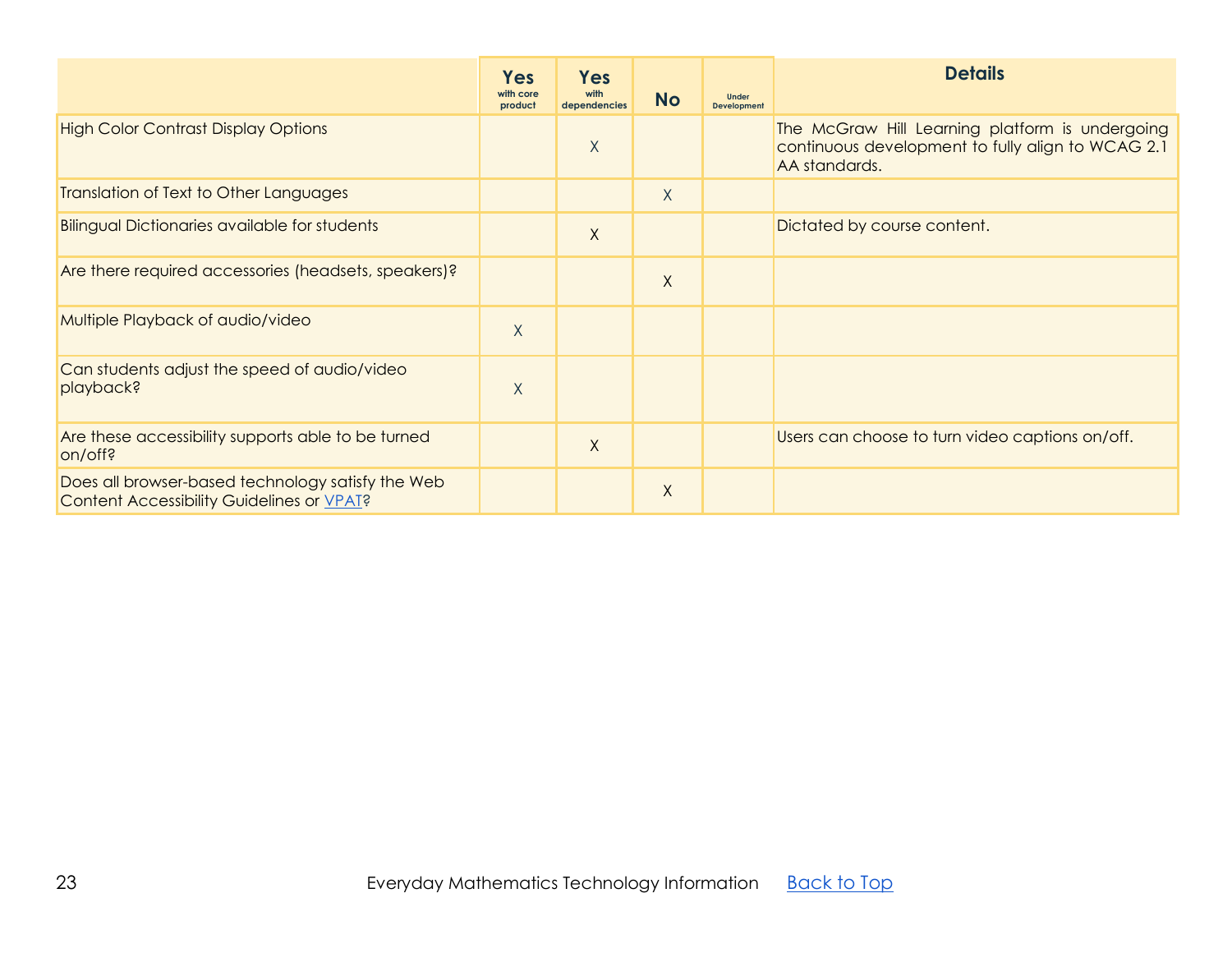<span id="page-22-0"></span>

|                                                                                                | <b>Yes</b><br>with core<br>product | <b>Yes</b><br>with<br>dependencies | <b>No</b> | <b>Under</b><br><b>Development</b> | <b>Details</b>                                                                                                        |
|------------------------------------------------------------------------------------------------|------------------------------------|------------------------------------|-----------|------------------------------------|-----------------------------------------------------------------------------------------------------------------------|
| <b>High Color Contrast Display Options</b>                                                     |                                    | X                                  |           |                                    | The McGraw Hill Learning platform is undergoing<br>continuous development to fully align to WCAG 2.1<br>AA standards. |
| Translation of Text to Other Languages                                                         |                                    |                                    | $\sf X$   |                                    |                                                                                                                       |
| <b>Bilingual Dictionaries available for students</b>                                           |                                    | X                                  |           |                                    | Dictated by course content.                                                                                           |
| Are there required accessories (headsets, speakers)?                                           |                                    |                                    | $\times$  |                                    |                                                                                                                       |
| Multiple Playback of audio/video                                                               | $\times$                           |                                    |           |                                    |                                                                                                                       |
| Can students adjust the speed of audio/video<br>playback?                                      | X                                  |                                    |           |                                    |                                                                                                                       |
| Are these accessibility supports able to be turned<br>on/off?                                  |                                    | X                                  |           |                                    | Users can choose to turn video captions on/off.                                                                       |
| Does all browser-based technology satisfy the Web<br>Content Accessibility Guidelines or VPAT? |                                    |                                    | X         |                                    |                                                                                                                       |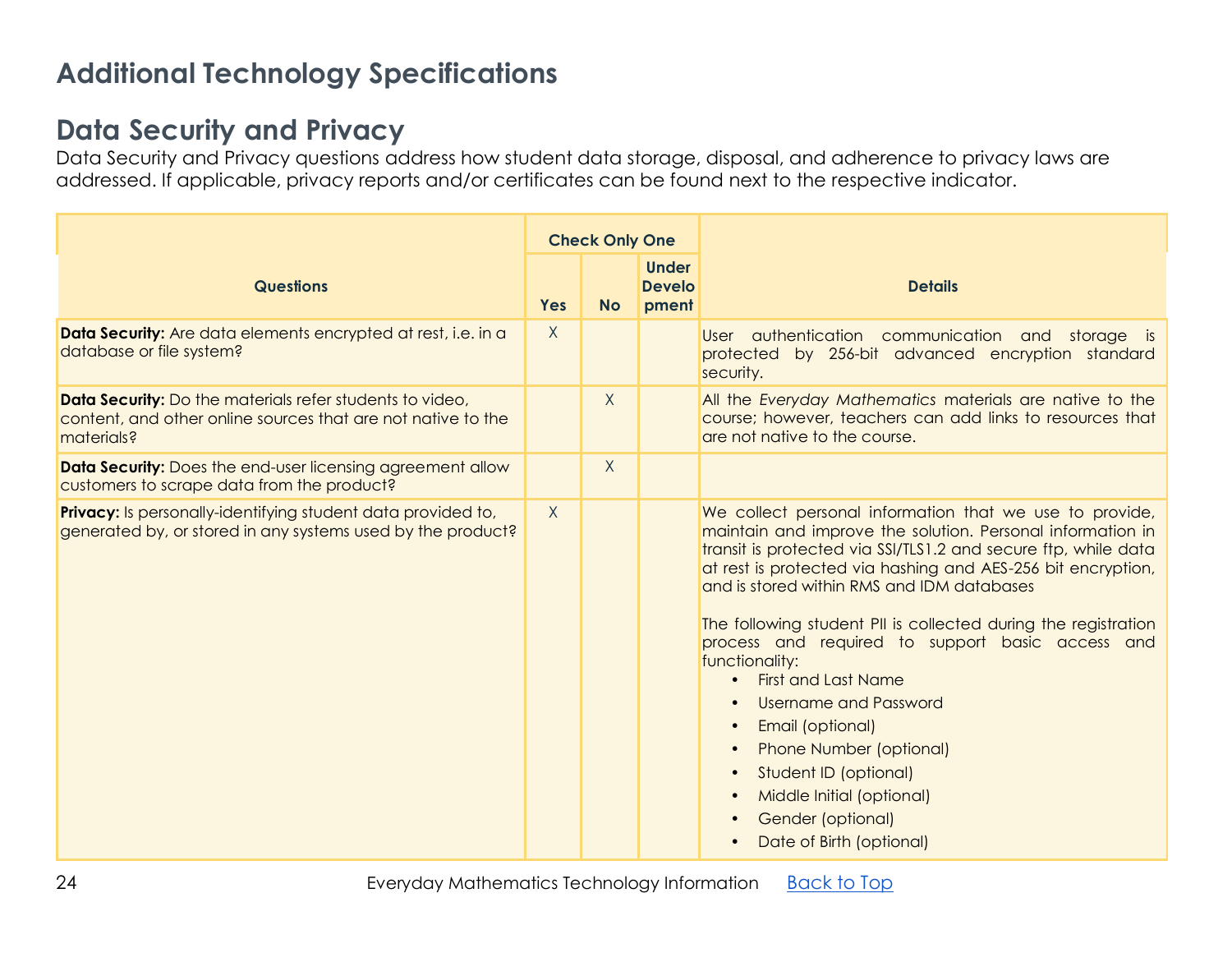# **Additional Technology Specifications**

### **Data Security and Privacy**

Data Security and Privacy questions address how student data storage, disposal, and adherence to privacy laws are addressed. If applicable, privacy reports and/or certificates can be found next to the respective indicator.

|                                                                                                                                        |            | <b>Check Only One</b> |                                        |                                                                                                                                                                                                                                                                                                                                                                                                                                                                                                                                                                                                                                                                                             |
|----------------------------------------------------------------------------------------------------------------------------------------|------------|-----------------------|----------------------------------------|---------------------------------------------------------------------------------------------------------------------------------------------------------------------------------------------------------------------------------------------------------------------------------------------------------------------------------------------------------------------------------------------------------------------------------------------------------------------------------------------------------------------------------------------------------------------------------------------------------------------------------------------------------------------------------------------|
| <b>Questions</b>                                                                                                                       | <b>Yes</b> | <b>No</b>             | <b>Under</b><br><b>Develo</b><br>pment | <b>Details</b>                                                                                                                                                                                                                                                                                                                                                                                                                                                                                                                                                                                                                                                                              |
| Data Security: Are data elements encrypted at rest, i.e. in a<br>database or file system?                                              | X          |                       |                                        | User authentication communication and storage is<br>protected by 256-bit advanced encryption standard<br>security.                                                                                                                                                                                                                                                                                                                                                                                                                                                                                                                                                                          |
| Data Security: Do the materials refer students to video,<br>content, and other online sources that are not native to the<br>materials? |            | $\chi$                |                                        | All the Everyday Mathematics materials are native to the<br>course; however, teachers can add links to resources that<br>are not native to the course.                                                                                                                                                                                                                                                                                                                                                                                                                                                                                                                                      |
| <b>Data Security:</b> Does the end-user licensing agreement allow<br>customers to scrape data from the product?                        |            | X                     |                                        |                                                                                                                                                                                                                                                                                                                                                                                                                                                                                                                                                                                                                                                                                             |
| <b>Privacy:</b> Is personally-identifying student data provided to,<br>generated by, or stored in any systems used by the product?     | $\sf X$    |                       |                                        | We collect personal information that we use to provide,<br>maintain and improve the solution. Personal information in<br>transit is protected via SSI/TLS1.2 and secure ftp, while data<br>at rest is protected via hashing and AES-256 bit encryption,<br>and is stored within RMS and IDM databases<br>The following student PII is collected during the registration<br>process and required to support basic access and<br>functionality:<br><b>First and Last Name</b><br>Username and Password<br>Email (optional)<br>$\bullet$<br><b>Phone Number (optional)</b><br>$\bullet$<br>Student ID (optional)<br>Middle Initial (optional)<br>Gender (optional)<br>Date of Birth (optional) |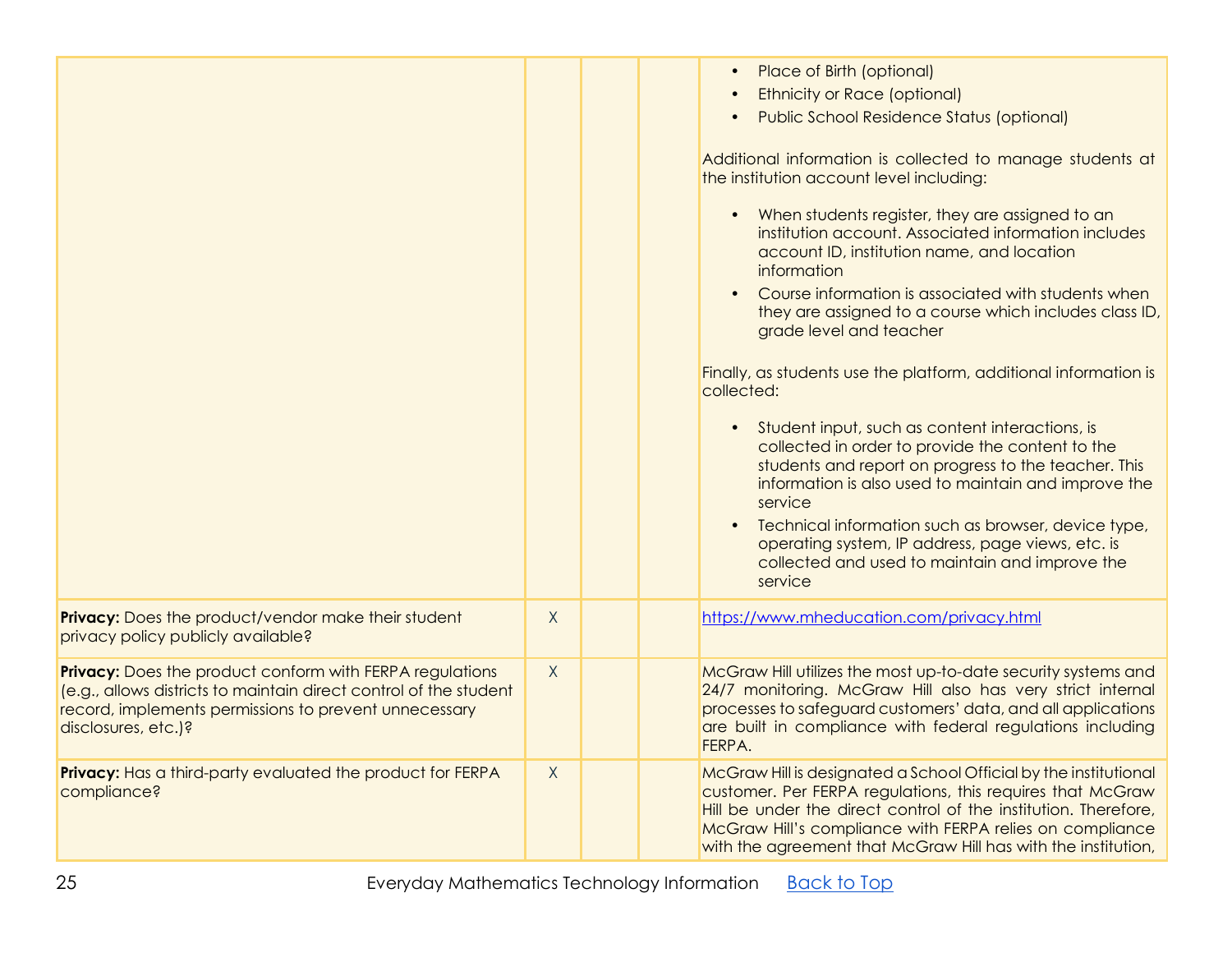|              |  | Place of Birth (optional)<br><b>Ethnicity or Race (optional)</b><br><b>Public School Residence Status (optional)</b><br>Additional information is collected to manage students at<br>the institution account level including:<br>When students register, they are assigned to an<br>institution account. Associated information includes<br>account ID, institution name, and location<br>information<br>Course information is associated with students when<br>they are assigned to a course which includes class ID,<br>grade level and teacher<br>Finally, as students use the platform, additional information is<br>collected:<br>Student input, such as content interactions, is<br>$\bullet$<br>collected in order to provide the content to the<br>students and report on progress to the teacher. This<br>information is also used to maintain and improve the<br>service<br>Technical information such as browser, device type,<br>operating system, IP address, page views, etc. is<br>collected and used to maintain and improve the<br>service |
|--------------|--|-------------------------------------------------------------------------------------------------------------------------------------------------------------------------------------------------------------------------------------------------------------------------------------------------------------------------------------------------------------------------------------------------------------------------------------------------------------------------------------------------------------------------------------------------------------------------------------------------------------------------------------------------------------------------------------------------------------------------------------------------------------------------------------------------------------------------------------------------------------------------------------------------------------------------------------------------------------------------------------------------------------------------------------------------------------|
| $\chi$       |  | https://www.mheducation.com/privacy.html                                                                                                                                                                                                                                                                                                                                                                                                                                                                                                                                                                                                                                                                                                                                                                                                                                                                                                                                                                                                                    |
| $\mathsf{X}$ |  | McGraw Hill utilizes the most up-to-date security systems and<br>24/7 monitoring. McGraw Hill also has very strict internal<br>processes to safeguard customers' data, and all applications<br>are built in compliance with federal regulations including<br>FERPA.                                                                                                                                                                                                                                                                                                                                                                                                                                                                                                                                                                                                                                                                                                                                                                                         |
| X            |  | McGraw Hill is designated a School Official by the institutional<br>customer. Per FERPA regulations, this requires that McGraw<br>Hill be under the direct control of the institution. Therefore,<br>McGraw Hill's compliance with FERPA relies on compliance<br>with the agreement that McGraw Hill has with the institution,                                                                                                                                                                                                                                                                                                                                                                                                                                                                                                                                                                                                                                                                                                                              |
|              |  |                                                                                                                                                                                                                                                                                                                                                                                                                                                                                                                                                                                                                                                                                                                                                                                                                                                                                                                                                                                                                                                             |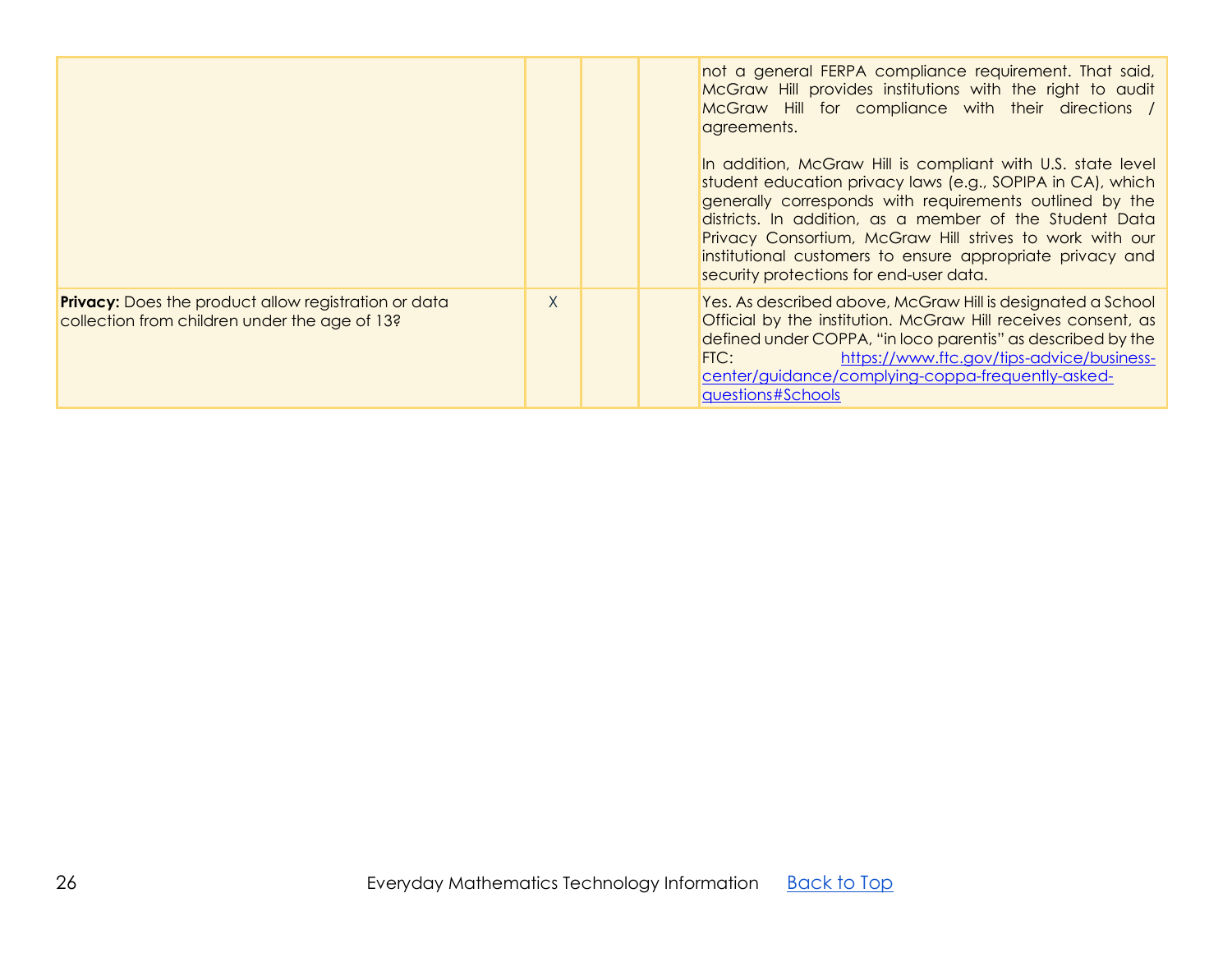|                                                                                                              |   | not a general FERPA compliance requirement. That said,<br>McGraw Hill provides institutions with the right to audit<br>McGraw Hill for compliance with their directions /<br>agreements.<br>In addition, McGraw Hill is compliant with U.S. state level<br>student education privacy laws (e.g., SOPIPA in CA), which<br>generally corresponds with requirements outlined by the<br>districts. In addition, as a member of the Student Data<br>Privacy Consortium, McGraw Hill strives to work with our<br>institutional customers to ensure appropriate privacy and<br>security protections for end-user data. |
|--------------------------------------------------------------------------------------------------------------|---|-----------------------------------------------------------------------------------------------------------------------------------------------------------------------------------------------------------------------------------------------------------------------------------------------------------------------------------------------------------------------------------------------------------------------------------------------------------------------------------------------------------------------------------------------------------------------------------------------------------------|
| <b>Privacy:</b> Does the product allow registration or data<br>collection from children under the age of 13? | X | Yes. As described above, McGraw Hill is designated a School<br>Official by the institution. McGraw Hill receives consent, as<br>defined under COPPA, "in loco parentis" as described by the<br>https://www.ftc.gov/tips-advice/business-<br>FIC:<br>center/guidance/complying-coppa-frequently-asked-<br>questions#Schools                                                                                                                                                                                                                                                                                      |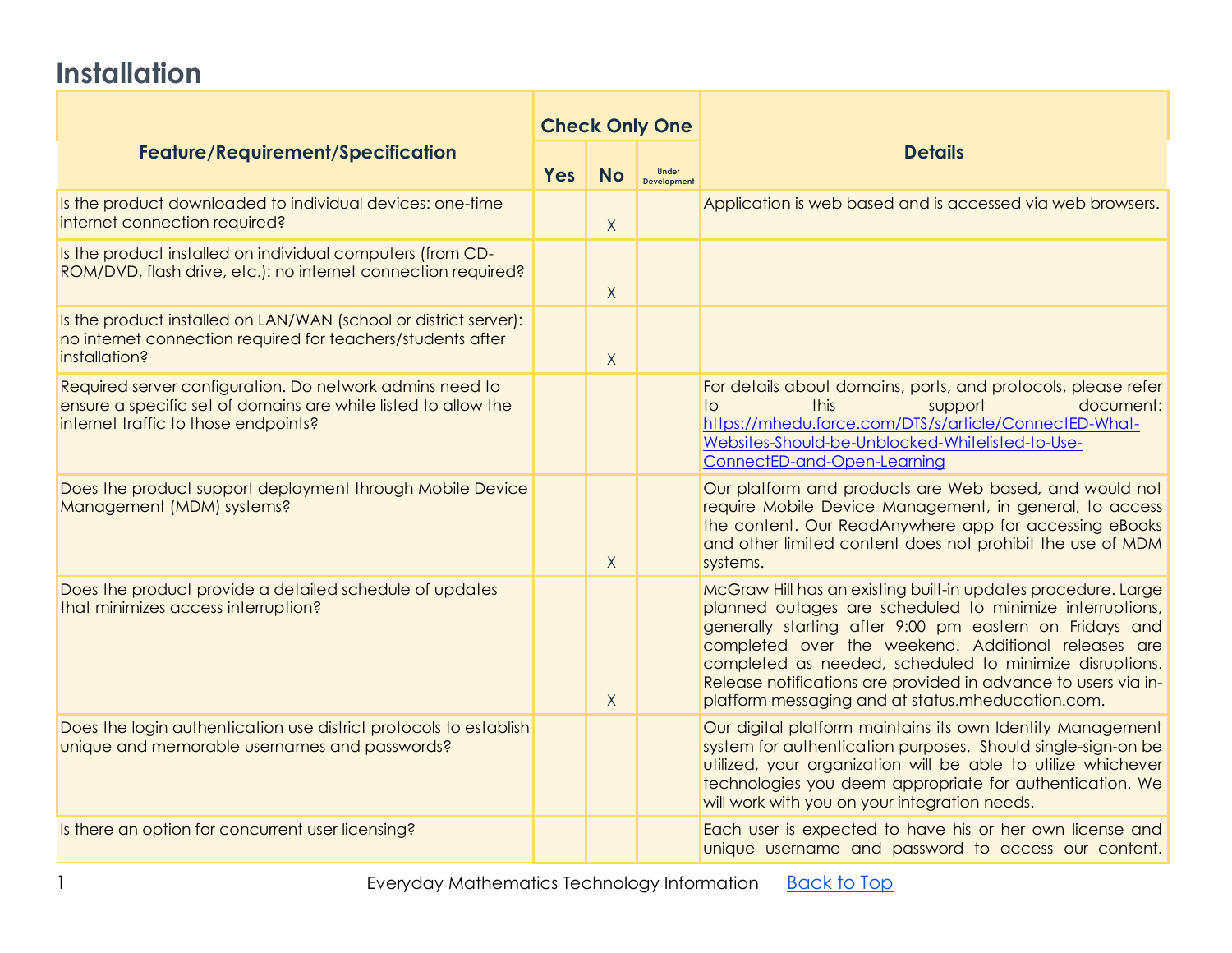# **Installation**

| <b>Feature/Requirement/Specification</b><br><b>Yes</b>                                                                                                             |  | <b>Check Only One</b> |                             |                                                                                                                                                                                                                                                                                                                                                                                                                               |
|--------------------------------------------------------------------------------------------------------------------------------------------------------------------|--|-----------------------|-----------------------------|-------------------------------------------------------------------------------------------------------------------------------------------------------------------------------------------------------------------------------------------------------------------------------------------------------------------------------------------------------------------------------------------------------------------------------|
|                                                                                                                                                                    |  | <b>No</b>             | Under<br><b>Development</b> | <b>Details</b>                                                                                                                                                                                                                                                                                                                                                                                                                |
| Is the product downloaded to individual devices: one-time<br>internet connection required?                                                                         |  | $\sf X$               |                             | Application is web based and is accessed via web browsers.                                                                                                                                                                                                                                                                                                                                                                    |
| Is the product installed on individual computers (from CD-<br>ROM/DVD, flash drive, etc.): no internet connection required?                                        |  | X                     |                             |                                                                                                                                                                                                                                                                                                                                                                                                                               |
| Is the product installed on LAN/WAN (school or district server):<br>no internet connection required for teachers/students after<br>installation?                   |  | $\sf X$               |                             |                                                                                                                                                                                                                                                                                                                                                                                                                               |
| Required server configuration. Do network admins need to<br>ensure a specific set of domains are white listed to allow the<br>internet traffic to those endpoints? |  |                       |                             | For details about domains, ports, and protocols, please refer<br>this<br>document:<br>support<br>to.<br>https://mhedu.force.com/DTS/s/article/ConnectED-What-<br>Websites-Should-be-Unblocked-Whitelisted-to-Use-<br>ConnectED-and-Open-Learning                                                                                                                                                                              |
| Does the product support deployment through Mobile Device<br>Management (MDM) systems?                                                                             |  | X                     |                             | Our platform and products are Web based, and would not<br>require Mobile Device Management, in general, to access<br>the content. Our ReadAnywhere app for accessing eBooks<br>and other limited content does not prohibit the use of MDM<br>systems.                                                                                                                                                                         |
| Does the product provide a detailed schedule of updates<br>that minimizes access interruption?                                                                     |  | $\mathsf{X}$          |                             | McGraw Hill has an existing built-in updates procedure. Large<br>planned outages are scheduled to minimize interruptions,<br>generally starting after 9:00 pm eastern on Fridays and<br>completed over the weekend. Additional releases are<br>completed as needed, scheduled to minimize disruptions.<br>Release notifications are provided in advance to users via in-<br>platform messaging and at status.mheducation.com. |
| Does the login authentication use district protocols to establish<br>unique and memorable usernames and passwords?                                                 |  |                       |                             | Our digital platform maintains its own Identity Management<br>system for authentication purposes. Should single-sign-on be<br>utilized, your organization will be able to utilize whichever<br>technologies you deem appropriate for authentication. We<br>will work with you on your integration needs.                                                                                                                      |
| Is there an option for concurrent user licensing?                                                                                                                  |  |                       |                             | Each user is expected to have his or her own license and<br>unique username and password to access our content.                                                                                                                                                                                                                                                                                                               |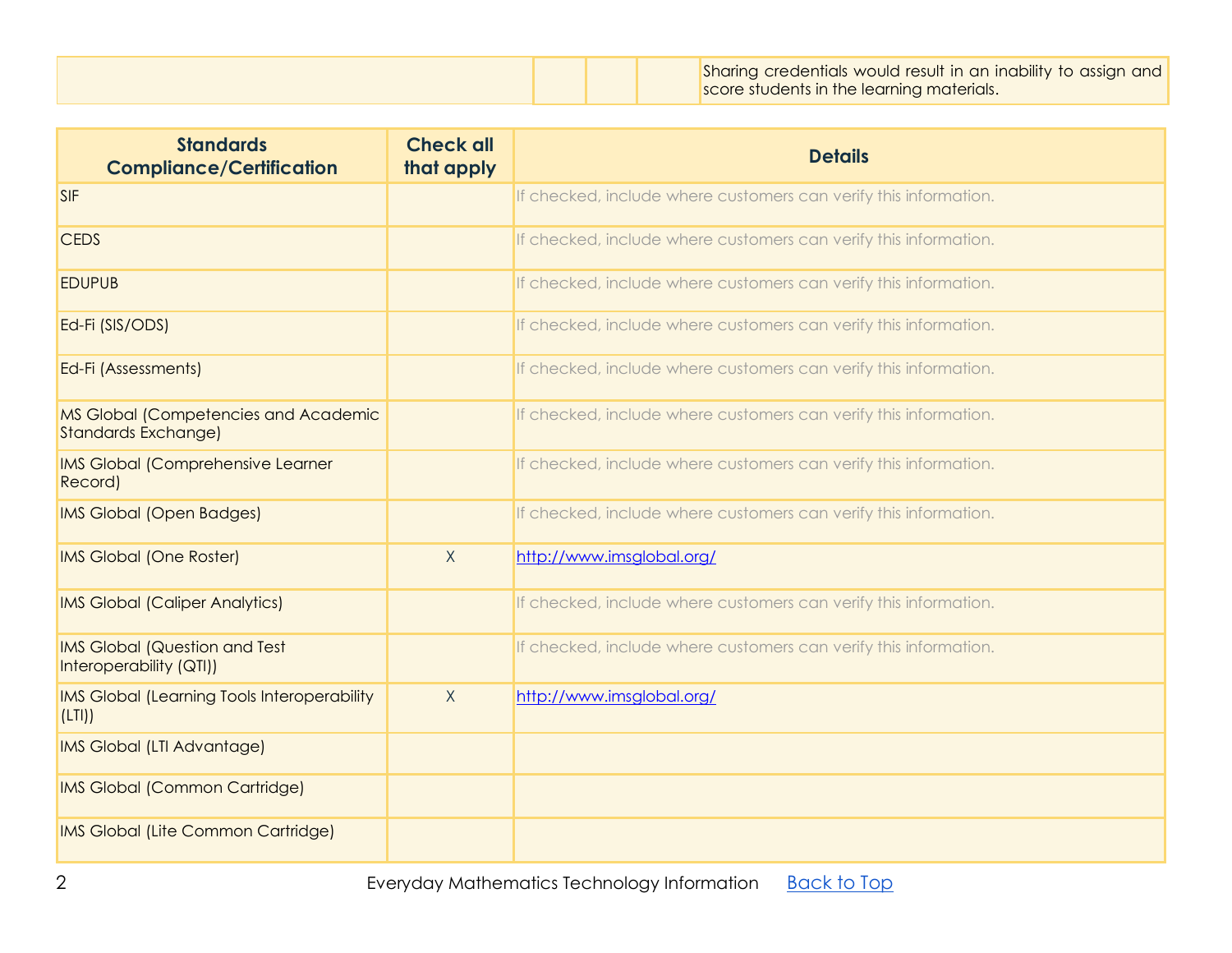|  |  |  |  | Sharing credentials would result in an inability to assign and<br>score students in the learning materials. |
|--|--|--|--|-------------------------------------------------------------------------------------------------------------|
|--|--|--|--|-------------------------------------------------------------------------------------------------------------|

| <b>Standards</b><br><b>Compliance/Certification</b>                | <b>Check all</b><br>that apply | <b>Details</b>                                                   |
|--------------------------------------------------------------------|--------------------------------|------------------------------------------------------------------|
| <b>SIF</b>                                                         |                                | If checked, include where customers can verify this information. |
| <b>CEDS</b>                                                        |                                | If checked, include where customers can verify this information. |
| <b>EDUPUB</b>                                                      |                                | If checked, include where customers can verify this information. |
| Ed-Fi (SIS/ODS)                                                    |                                | If checked, include where customers can verify this information. |
| Ed-Fi (Assessments)                                                |                                | If checked, include where customers can verify this information. |
| MS Global (Competencies and Academic<br><b>Standards Exchange)</b> |                                | If checked, include where customers can verify this information. |
| <b>IMS Global (Comprehensive Learner</b><br>Record)                |                                | If checked, include where customers can verify this information. |
| <b>IMS Global (Open Badges)</b>                                    |                                | If checked, include where customers can verify this information. |
| <b>IMS Global (One Roster)</b>                                     | X                              | http://www.imsglobal.org/                                        |
| <b>IMS Global (Caliper Analytics)</b>                              |                                | If checked, include where customers can verify this information. |
| <b>IMS Global (Question and Test</b><br>Interoperability (QTI))    |                                | If checked, include where customers can verify this information. |
| <b>IMS Global (Learning Tools Interoperability</b><br>(LTI)        | $\sf X$                        | http://www.imsglobal.org/                                        |
| IMS Global (LTI Advantage)                                         |                                |                                                                  |
| <b>IMS Global (Common Cartridge)</b>                               |                                |                                                                  |
| IMS Global (Lite Common Cartridge)                                 |                                |                                                                  |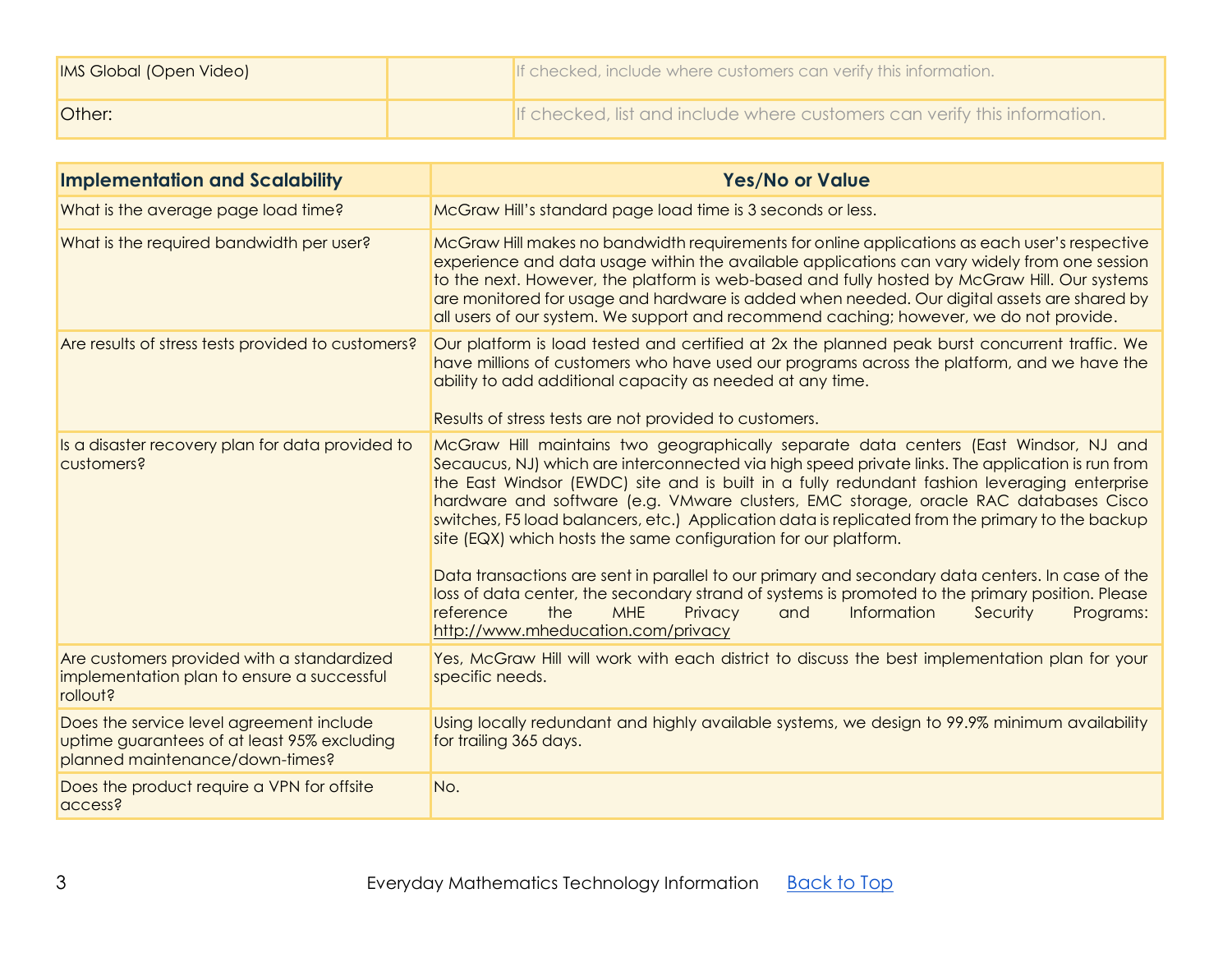| <b>IMS Global (Open Video)</b> | If checked, include where customers can verify this information.          |
|--------------------------------|---------------------------------------------------------------------------|
| <b>Other:</b>                  | If checked, list and include where customers can verify this information. |

| <b>Implementation and Scalability</b>                                                                                      | <b>Yes/No or Value</b>                                                                                                                                                                                                                                                                                                                                                                                                                                                                                                                                                                                                                                                                                                                                                                                                                                                                            |
|----------------------------------------------------------------------------------------------------------------------------|---------------------------------------------------------------------------------------------------------------------------------------------------------------------------------------------------------------------------------------------------------------------------------------------------------------------------------------------------------------------------------------------------------------------------------------------------------------------------------------------------------------------------------------------------------------------------------------------------------------------------------------------------------------------------------------------------------------------------------------------------------------------------------------------------------------------------------------------------------------------------------------------------|
| What is the average page load time?                                                                                        | McGraw Hill's standard page load time is 3 seconds or less.                                                                                                                                                                                                                                                                                                                                                                                                                                                                                                                                                                                                                                                                                                                                                                                                                                       |
| What is the required bandwidth per user?                                                                                   | McGraw Hill makes no bandwidth requirements for online applications as each user's respective<br>experience and data usage within the available applications can vary widely from one session<br>to the next. However, the platform is web-based and fully hosted by McGraw Hill. Our systems<br>are monitored for usage and hardware is added when needed. Our digital assets are shared by<br>all users of our system. We support and recommend caching; however, we do not provide.                                                                                                                                                                                                                                                                                                                                                                                                            |
| Are results of stress tests provided to customers?                                                                         | Our platform is load tested and certified at 2x the planned peak burst concurrent traffic. We<br>have millions of customers who have used our programs across the platform, and we have the<br>ability to add additional capacity as needed at any time.<br>Results of stress tests are not provided to customers.                                                                                                                                                                                                                                                                                                                                                                                                                                                                                                                                                                                |
| Is a disaster recovery plan for data provided to<br>customers?                                                             | McGraw Hill maintains two geographically separate data centers (East Windsor, NJ and<br>Secaucus, NJ) which are interconnected via high speed private links. The application is run from<br>the East Windsor (EWDC) site and is built in a fully redundant fashion leveraging enterprise<br>hardware and software (e.g. VMware clusters, EMC storage, oracle RAC databases Cisco<br>switches, F5 load balancers, etc.) Application data is replicated from the primary to the backup<br>site (EQX) which hosts the same configuration for our platform.<br>Data transactions are sent in parallel to our primary and secondary data centers. In case of the<br>loss of data center, the secondary strand of systems is promoted to the primary position. Please<br>the<br>Privacy<br>Information<br>Programs:<br>reference<br><b>MHE</b><br>and<br>Security<br>http://www.mheducation.com/privacy |
| Are customers provided with a standardized<br>implementation plan to ensure a successful<br>rollout?                       | Yes, McGraw Hill will work with each district to discuss the best implementation plan for your<br>specific needs.                                                                                                                                                                                                                                                                                                                                                                                                                                                                                                                                                                                                                                                                                                                                                                                 |
| Does the service level agreement include<br>uptime guarantees of at least 95% excluding<br>planned maintenance/down-times? | Using locally redundant and highly available systems, we design to 99.9% minimum availability<br>for trailing 365 days.                                                                                                                                                                                                                                                                                                                                                                                                                                                                                                                                                                                                                                                                                                                                                                           |
| Does the product require a VPN for offsite<br>access?                                                                      | No.                                                                                                                                                                                                                                                                                                                                                                                                                                                                                                                                                                                                                                                                                                                                                                                                                                                                                               |